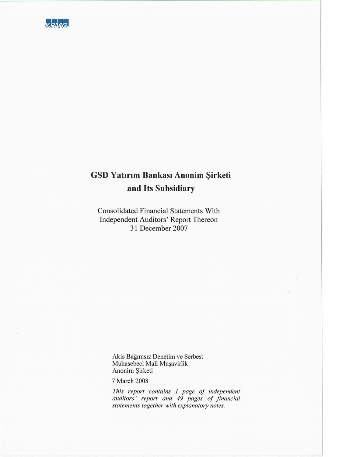

# GSD Yatırım Bankası Anonim Şirketi and Its Subsidiary

**Consolidated Financial Statements With** Independent Auditors' Report Thereon 31 December 2007

> Akis Bağımsız Denetim ve Serbest Muhasebeci Mali Müşavirlik Anonim Şirketi

7 March 2008

This report contains 1 page of independent auditors' report and 49 pages of financial statements together with explanatory notes.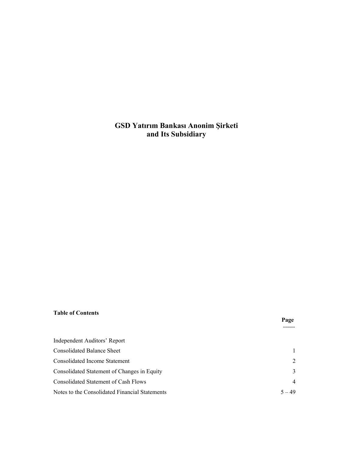# **GSD Yatırım Bankası Anonim Şirketi and Its Subsidiary**

# **Table of Contents**

# **Page**  ------

| Independent Auditors' Report                   |                |
|------------------------------------------------|----------------|
| <b>Consolidated Balance Sheet</b>              |                |
| <b>Consolidated Income Statement</b>           | 2              |
| Consolidated Statement of Changes in Equity    | $\mathcal{L}$  |
| Consolidated Statement of Cash Flows           | $\overline{4}$ |
| Notes to the Consolidated Financial Statements | $5 - 49$       |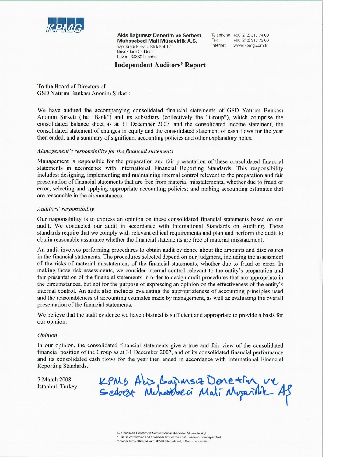

Akis Bağımsız Denetim ve Serbest Muhasebeci Mali Müşavirlik A.Ş. Yapı Kredi Plaza C Blok Kat 17 Büyükdere Caddesi Levent 34330 İstanbul

Telephone +90 (212) 317 74 00 +90 (212) 317 73 00 Fax Internet www.kpmg.com.tr

#### **Independent Auditors' Report**

To the Board of Directors of GSD Yatırım Bankası Anonim Sirketi:

We have audited the accompanying consolidated financial statements of GSD Yatırım Bankası Anonim Sirketi (the "Bank") and its subsidiary (collectively the "Group"), which comprise the consolidated balance sheet as at 31 December 2007, and the consolidated income statement, the consolidated statement of changes in equity and the consolidated statement of cash flows for the year then ended, and a summary of significant accounting policies and other explanatory notes.

#### Management's responsibility for the financial statements

Management is responsible for the preparation and fair presentation of these consolidated financial statements in accordance with International Financial Reporting Standards. This responsibility includes: designing, implementing and maintaining internal control relevant to the preparation and fair presentation of financial statements that are free from material misstatements, whether due to fraud or error; selecting and applying appropriate accounting policies; and making accounting estimates that are reasonable in the circumstances.

#### Auditors' responsibility

Our responsibility is to express an opinion on these consolidated financial statements based on our audit. We conducted our audit in accordance with International Standards on Auditing. Those standards require that we comply with relevant ethical requirements and plan and perform the audit to obtain reasonable assurance whether the financial statements are free of material misstatement.

An audit involves performing procedures to obtain audit evidence about the amounts and disclosures in the financial statements. The procedures selected depend on our judgment, including the assessment of the risks of material misstatement of the financial statements, whether due to fraud or error. In making those risk assessments, we consider internal control relevant to the entity's preparation and fair presentation of the financial statements in order to design audit procedures that are appropriate in the circumstances, but not for the purpose of expressing an opinion on the effectiveness of the entity's internal control. An audit also includes evaluating the appropriateness of accounting principles used and the reasonableness of accounting estimates made by management, as well as evaluating the overall presentation of the financial statements.

We believe that the audit evidence we have obtained is sufficient and appropriate to provide a basis for our opinion.

#### Opinion

In our opinion, the consolidated financial statements give a true and fair view of the consolidated financial position of the Group as at 31 December 2007, and of its consolidated financial performance and its consolidated cash flows for the year then ended in accordance with International Financial Reporting Standards.

7 March 2008 Istanbul, Turkey

KPM6 Aliz Baginsiz Done tin ve

Akis Bağımsız Denetim ve Serbest Muhasebeci Mali Müşavirlik A.Ş., a Turkish corporation and a member firm of the KPMG network of independent member firms affiliated with KPMG International, a Swiss cooperative.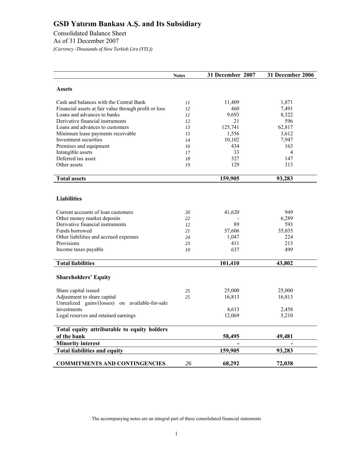Consolidated Balance Sheet As of 31 December 2007 *(Currency -Thousands of New Turkish Lira (YTL))* 

|                                                                 | <b>Notes</b> | 31 December 2007 | 31 December 2006      |
|-----------------------------------------------------------------|--------------|------------------|-----------------------|
| <b>Assets</b>                                                   |              |                  |                       |
| Cash and balances with the Central Bank                         |              |                  |                       |
|                                                                 | II<br>12     | 11,409           | 1,871                 |
| Financial assets at fair value through profit or loss           | II           | 460              | 7,491                 |
| Loans and advances to banks<br>Derivative financial instruments | 12           | 9,693<br>21      | 8,322<br>596          |
| Loans and advances to customers                                 | 13           | 125,741          | 62,817                |
| Minimum lease payments receivable                               |              |                  |                       |
|                                                                 | 15<br>14     | 1,556            | 3,612                 |
| Investment securities                                           |              | 10,102<br>434    | 7,947                 |
| Premises and equipment                                          | 16           |                  | 163<br>$\overline{4}$ |
| Intangible assets                                               | 17           | 33               |                       |
| Deferred tax asset                                              | 18           | 327              | 147                   |
| Other assets                                                    | 19           | 129              | 313                   |
| <b>Total assets</b>                                             |              | 159,905          | 93,283                |
|                                                                 |              |                  |                       |
| <b>Liabilities</b>                                              |              |                  |                       |
| Current accounts of loan customers                              | 20           | 41,620           | 949                   |
| Other money market deposits                                     | 22           |                  | 6,289                 |
| Derivative financial instruments                                | 12           | 89               | 593                   |
| Funds borrowed                                                  | 21           | 57,606           | 35,035                |
| Other liabilities and accrued expenses                          | 24           | 1,047            | 224                   |
| Provisions                                                      | 23           | 411              | 213                   |
| Income taxes payable                                            | 10           | 637              | 499                   |
|                                                                 |              |                  |                       |
| <b>Total liabilities</b>                                        |              | 101,410          | 43,802                |
| <b>Shareholders' Equity</b>                                     |              |                  |                       |
| Share capital issued                                            | 25           | 25,000           | 25,000                |
| Adjustment to share capital                                     | 25           | 16,813           | 16,813                |
| Unrealized gains/(losses) on available-for-sale                 |              |                  |                       |
| investments                                                     |              | 4,613            | 2,458                 |
| Legal reserves and retained earnings                            |              | 12,069           | 5,210                 |
|                                                                 |              |                  |                       |
| Total equity attributable to equity holders                     |              |                  |                       |
| of the bank                                                     |              | 58,495           | 49,481                |
| <b>Minority interest</b>                                        |              |                  |                       |
| <b>Total liabilities and equity</b>                             |              | 159,905          | 93,283                |
| <b>COMMITMENTS AND CONTINGENCIES</b>                            | 26           | 68,292           | 72,038                |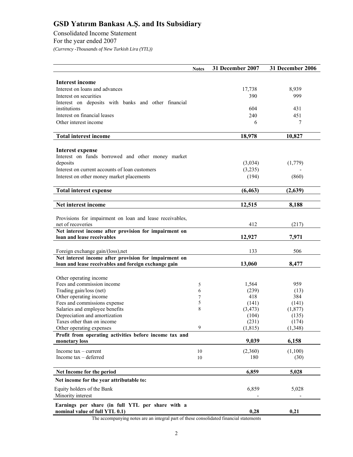Consolidated Income Statement For the year ended 2007 *(Currency -Thousands of New Turkish Lira (YTL))* 

|                                                                                            | <b>Notes</b> | 31 December 2007 | 31 December 2006 |
|--------------------------------------------------------------------------------------------|--------------|------------------|------------------|
|                                                                                            |              |                  |                  |
| <b>Interest income</b>                                                                     |              |                  |                  |
| Interest on loans and advances                                                             |              | 17,738           | 8,939            |
| Interest on securities                                                                     |              | 390              | 999              |
| Interest on deposits with banks and other financial                                        |              |                  |                  |
| institutions                                                                               |              | 604              | 431              |
| Interest on financial leases                                                               |              | 240              | 451              |
| Other interest income                                                                      |              | 6                | 7                |
| <b>Total interest income</b>                                                               |              | 18,978           | 10,827           |
|                                                                                            |              |                  |                  |
|                                                                                            |              |                  |                  |
| Interest expense<br>Interest on funds borrowed and other money market                      |              |                  |                  |
| deposits                                                                                   |              | (3,034)          | (1,779)          |
| Interest on current accounts of loan customers                                             |              | (3,235)          |                  |
| Interest on other money market placements                                                  |              | (194)            | (860)            |
|                                                                                            |              |                  |                  |
| <b>Total interest expense</b>                                                              |              | (6, 463)         | (2,639)          |
|                                                                                            |              |                  |                  |
| Net interest income                                                                        |              | 12,515           | 8,188            |
|                                                                                            |              |                  |                  |
| Provisions for impairment on loan and lease receivables,                                   |              |                  |                  |
| net of recoveries                                                                          |              | 412              | (217)            |
| Net interest income after provision for impairment on                                      |              |                  |                  |
| loan and lease receivables                                                                 |              | 12,927           | 7,971            |
|                                                                                            |              |                  |                  |
| Foreign exchange gain/(loss), net<br>Net interest income after provision for impairment on |              | 133              | 506              |
| loan and lease receivables and foreign exchange gain                                       |              | 13,060           | 8,477            |
|                                                                                            |              |                  |                  |
| Other operating income                                                                     |              |                  |                  |
| Fees and commission income                                                                 | 5            | 1,564            | 959              |
| Trading gain/loss (net)                                                                    | 6            | (239)            | (13)             |
| Other operating income                                                                     | 7            | 418              | 384              |
| Fees and commissions expense                                                               | 5            | (141)            | (141)            |
| Salaries and employee benefits                                                             | 8            | (3, 473)         | (1, 877)         |
| Depreciation and amortization                                                              |              | (104)            | (135)            |
| Taxes other than on income                                                                 |              | (231)            | (174)            |
| Other operating expenses                                                                   | 9            | (1, 815)         | (1,348)          |
| Profit from operating activities before income tax and                                     |              |                  |                  |
| monetary loss                                                                              |              | 9,039            | 6,158            |
| Income $tax$ – current                                                                     | 10           | (2,360)          | (1,100)          |
| Income $tax$ – deferred                                                                    | 10           | 180              | (30)             |
|                                                                                            |              |                  |                  |
| Net Income for the period                                                                  |              | 6,859            | 5,028            |
| Net income for the year attributable to:                                                   |              |                  |                  |
| Equity holders of the Bank                                                                 |              | 6,859            | 5,028            |
| Minority interest                                                                          |              |                  |                  |
|                                                                                            |              |                  |                  |
| Earnings per share (in full YTL per share with a<br>nominal value of full YTL 0.1)         |              | 0,28             | 0,21             |
|                                                                                            |              |                  |                  |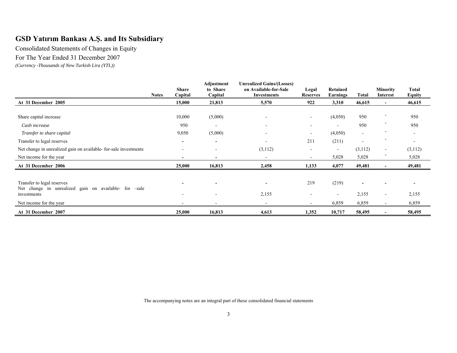Consolidated Statements of Changes in Equity

For The Year Ended 31 December 2007

*(Currency -Thousands of New Turkish Lira (YTL))* 

|                                                                                        |              | <b>Share</b>                 | Adjustment<br>to Share   | <b>Unrealized Gains/(Losses)</b><br>on Available-for-Sale | Legal                    | <b>Retained</b>          |                          | <b>Minority</b>          | <b>Total</b>             |
|----------------------------------------------------------------------------------------|--------------|------------------------------|--------------------------|-----------------------------------------------------------|--------------------------|--------------------------|--------------------------|--------------------------|--------------------------|
|                                                                                        | <b>Notes</b> | Capital                      | Capital                  | Investments                                               | <b>Reserves</b>          | Earnings                 | <b>Total</b>             | <b>Interest</b>          | <b>Equity</b>            |
| At 31 December 2005                                                                    |              | 15,000                       | 21,813                   | 5,570                                                     | 922                      | 3,310                    | 46,615                   | $\sim$                   | 46,615                   |
| Share capital increase                                                                 |              | 10,000                       | (5,000)                  | ٠                                                         | $\sim$                   | (4,050)                  | 950                      |                          | 950                      |
| Cash increase                                                                          |              | 950                          | $\blacksquare$           | $\overline{\phantom{a}}$                                  | $\sim$                   | $\overline{\phantom{a}}$ | 950                      | $\overline{\phantom{a}}$ | 950                      |
| Transfer to share capital                                                              |              | 9,050                        | (5,000)                  | $\overline{\phantom{a}}$                                  | $\sim$                   | (4,050)                  | $\sim$                   |                          | $\overline{\phantom{a}}$ |
| Transfer to legal reserves                                                             |              | $\qquad \qquad \blacksquare$ | $\overline{\phantom{a}}$ |                                                           | 211                      | (211)                    | $\overline{\phantom{a}}$ | $\overline{\phantom{a}}$ |                          |
| Net change in unrealized gain on available-for-sale investments                        |              |                              | $\overline{\phantom{0}}$ | (3,112)                                                   | $\overline{\phantom{a}}$ | $\sim$                   | (3,112)                  | $\sim$                   | (3,112)                  |
| Net income for the year.                                                               |              | $\overline{\phantom{a}}$     | $\overline{\phantom{a}}$ | $\overline{\phantom{a}}$                                  | $\sim$                   | 5,028                    | 5,028                    |                          | 5,028                    |
| At 31 December 2006                                                                    |              | 25,000                       | 16,813                   | 2,458                                                     | 1,133                    | 4,077                    | 49,481                   |                          | 49,481                   |
|                                                                                        |              |                              |                          |                                                           |                          |                          |                          |                          |                          |
| Transfer to legal reserves<br>gain on available- for -sale<br>Net change in unrealized |              |                              |                          |                                                           | 219                      | (219)                    | $\overline{\phantom{a}}$ |                          |                          |
| investments                                                                            |              | $\overline{\phantom{a}}$     |                          | 2,155                                                     | $\overline{\phantom{a}}$ | $\overline{\phantom{a}}$ | 2,155                    | $\overline{\phantom{a}}$ | 2,155                    |
| Net income for the year.                                                               |              | $\overline{\phantom{a}}$     |                          | $\overline{\phantom{a}}$                                  | $\overline{\phantom{a}}$ | 6,859                    | 6,859                    | $\overline{\phantom{a}}$ | 6,859                    |
| At 31 December 2007                                                                    |              | 25,000                       | 16,813                   | 4,613                                                     | 1,352                    | 10,717                   | 58,495                   |                          | 58,495                   |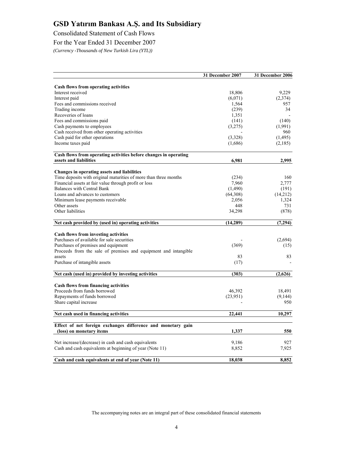Consolidated Statement of Cash Flows

For the Year Ended 31 December 2007

*(Currency -Thousands of New Turkish Lira (YTL))* 

|                                                                  | 31 December 2007 | 31 December 2006 |
|------------------------------------------------------------------|------------------|------------------|
|                                                                  |                  |                  |
| Cash flows from operating activities                             |                  |                  |
| Interest received<br>Interest paid                               | 18,806           | 9,229            |
| Fees and commissions received                                    | (6,071)<br>1,564 | (2,374)<br>957   |
| Trading income                                                   | (239)            | 34               |
| Recoveries of loans                                              | 1,351            |                  |
| Fees and commissions paid                                        | (141)            | (140)            |
| Cash payments to employees                                       | (3,275)          | (1,991)          |
| Cash received from other operating activities                    |                  | 960              |
| Cash paid for other operations                                   | (3,328)          | (1, 495)         |
| Income taxes paid                                                | (1,686)          | (2,185)          |
|                                                                  |                  |                  |
| Cash flows from operating activities before changes in operating |                  |                  |
| assets and liabilities                                           | 6,981            | 2,995            |
|                                                                  |                  |                  |
| <b>Changes in operating assets and liabilities</b>               |                  |                  |
| Time deposits with original maturities of more than three months | (234)            | 160              |
| Financial assets at fair value through profit or loss            | 7,960            | 2,777            |
| <b>Balances with Central Bank</b>                                | (1,490)          | (191)            |
| Loans and advances to customers                                  | (64,308)         | (14,212)         |
| Minimum lease payments receivable                                | 2,056            | 1,324            |
| Other assets                                                     | 448              | 731              |
| Other liabilities                                                | 34,298           | (878)            |
| Net cash provided by (used in) operating activities              | (14, 289)        | (7,294)          |
|                                                                  |                  |                  |
| <b>Cash flows from investing activities</b>                      |                  |                  |
| Purchases of available for sale securities                       |                  | (2,694)          |
| Purchases of premises and equipment                              | (369)            | (15)             |
| Proceeds from the sale of premises and equipment and intangible  |                  |                  |
| assets                                                           | 83               | 83               |
| Purchase of intangible assets                                    | (17)             |                  |
| Net cash (used in) provided by investing activities              | (303)            | (2,626)          |
|                                                                  |                  |                  |
| <b>Cash flows from financing activities</b>                      |                  |                  |
| Proceeds from funds borrowed                                     | 46,392           | 18,491           |
| Repayments of funds borrowed                                     | (23,951)         | (9,144)          |
| Share capital increase                                           |                  | 950              |
|                                                                  |                  |                  |
| Net cash used in financing activities                            | 22,441           | 10,297           |
| Effect of net foreign exchanges difference and monetary gain     |                  |                  |
| (loss) on monetary items                                         | 1,337            | 550              |
|                                                                  |                  |                  |
| Net increase/(decrease) in cash and cash equivalents             | 9,186            | 927              |
| Cash and cash equivalents at beginning of year (Note 11)         | 8,852            | 7,925            |
| Cash and cash equivalents at end of year (Note 11)               | 18,038           | 8,852            |
|                                                                  |                  |                  |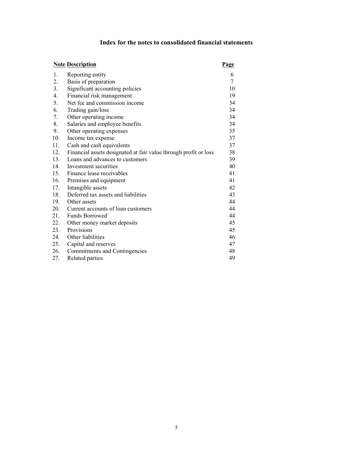# **Index for the notes to consolidated financial statements**

|     | <b>Note Description</b>                                          | Page |
|-----|------------------------------------------------------------------|------|
| 1.  | Reporting entity                                                 | 6    |
| 2.  | Basis of preparation                                             | 7    |
| 3.  | Significant accounting policies                                  | 10   |
| 4.  | Financial risk management                                        | 19   |
| 5.  | Net fee and commission income                                    | 34   |
| 6.  | Trading gain/loss                                                | 34   |
| 7.  | Other operating income                                           | 34   |
| 8.  | Salaries and employee benefits                                   | 34   |
| 9.  | Other operating expenses                                         | 35   |
| 10. | Income tax expense                                               | 37   |
| 11. | Cash and cash equivalents                                        | 37   |
| 12. | Financial assets designated at fair value through profit or loss | 38   |
| 13. | Loans and advances to customers                                  | 39   |
| 14. | Investment securities                                            | 40   |
| 15. | Finance lease receivables                                        | 41   |
| 16. | Premises and equipment                                           | 41   |
| 17. | Intangible assets                                                | 42   |
| 18. | Deferred tax assets and liabilities                              | 43   |
| 19. | Other assets                                                     | 44   |
| 20. | Current accounts of loan customers                               | 44   |
| 21. | <b>Funds Borrowed</b>                                            | 44   |
| 22. | Other money market deposits                                      | 45   |
| 23. | Provisions                                                       | 45   |
| 24. | Other liabilities                                                | 46   |
| 25. | Capital and reserves                                             | 47   |
| 26. | Commitments and Contingencies                                    | 48   |
| 27. | Related parties                                                  | 49   |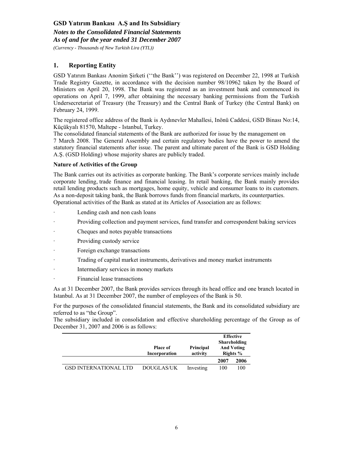*Notes to the Consolidated Financial Statements As of and for the year ended 31 December 2007* 

*(Currency - Thousands of New Turkish Lira (YTL))* 

# **1. Reporting Entity**

GSD Yatırım Bankası Anonim Şirketi (''the Bank'') was registered on December 22, 1998 at Turkish Trade Registry Gazette, in accordance with the decision number 98/10962 taken by the Board of Ministers on April 20, 1998. The Bank was registered as an investment bank and commenced its operations on April 7, 1999, after obtaining the necessary banking permissions from the Turkish Undersecretariat of Treasury (the Treasury) and the Central Bank of Turkey (the Central Bank) on February 24, 1999.

The registered office address of the Bank is Aydınevler Mahallesi, Inönü Caddesi, GSD Binası No:14, Küçükyalı 81570, Maltepe - Istanbul, Turkey.

The consolidated financial statements of the Bank are authorized for issue by the management on 7 March 2008. The General Assembly and certain regulatory bodies have the power to amend the statutory financial statements after issue. The parent and ultimate parent of the Bank is GSD Holding A.Ş. (GSD Holding) whose majority shares are publicly traded.

#### **Nature of Activities of the Group**

The Bank carries out its activities as corporate banking. The Bank's corporate services mainly include corporate lending, trade finance and financial leasing. In retail banking, the Bank mainly provides retail lending products such as mortgages, home equity, vehicle and consumer loans to its customers. As a non-deposit taking bank, the Bank borrows funds from financial markets, its counterparties. Operational activities of the Bank as stated at its Articles of Association are as follows:

- Lending cash and non cash loans
- Providing collection and payment services, fund transfer and correspondent baking services
- · Cheques and notes payable transactions
- Providing custody service
- Foreign exchange transactions
- · Trading of capital market instruments, derivatives and money market instruments
- · Intermediary services in money markets
- · Financial lease transactions

As at 31 December 2007, the Bank provides services through its head office and one branch located in Istanbul. As at 31 December 2007, the number of employees of the Bank is 50.

For the purposes of the consolidated financial statements, the Bank and its consolidated subsidiary are referred to as "the Group".

The subsidiary included in consolidation and effective shareholding percentage of the Group as of December 31, 2007 and 2006 is as follows:

|                              | <b>Place of</b><br>Incorporation | Principal<br>activity | <b>Effective</b><br>Shareholding<br><b>And Voting</b><br>Rights % |      |
|------------------------------|----------------------------------|-----------------------|-------------------------------------------------------------------|------|
|                              |                                  |                       | 2007                                                              | 2006 |
| <b>GSD INTERNATIONAL LTD</b> | DOUGLAS/UK                       | Investing             | .00                                                               | 100  |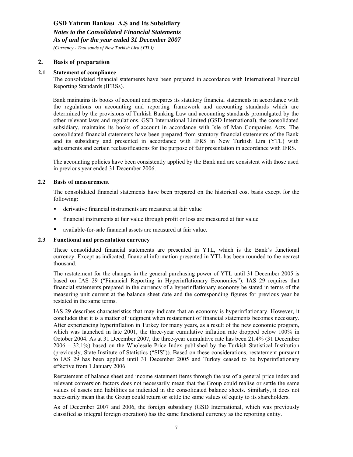#### *Notes to the Consolidated Financial Statements As of and for the year ended 31 December 2007*

*(Currency - Thousands of New Turkish Lira (YTL))* 

## **2. Basis of preparation**

#### **2.1 Statement of compliance**

The consolidated financial statements have been prepared in accordance with International Financial Reporting Standards (IFRSs).

 Bank maintains its books of account and prepares its statutory financial statements in accordance with the regulations on accounting and reporting framework and accounting standards which are determined by the provisions of Turkish Banking Law and accounting standards promulgated by the other relevant laws and regulations. GSD International Limited (GSD International), the consolidated subsidiary, maintains its books of account in accordance with Isle of Man Companies Acts. The consolidated financial statements have been prepared from statutory financial statements of the Bank and its subsidiary and presented in accordance with IFRS in New Turkish Lira (YTL) with adjustments and certain reclassifications for the purpose of fair presentation in accordance with IFRS.

 The accounting policies have been consistently applied by the Bank and are consistent with those used in previous year ended 31 December 2006.

#### **2.2 Basis of measurement**

The consolidated financial statements have been prepared on the historical cost basis except for the following:

- derivative financial instruments are measured at fair value
- financial instruments at fair value through profit or loss are measured at fair value
- available-for-sale financial assets are measured at fair value.

#### **2.3 Functional and presentation currency**

These consolidated financial statements are presented in YTL, which is the Bank's functional currency. Except as indicated, financial information presented in YTL has been rounded to the nearest thousand.

The restatement for the changes in the general purchasing power of YTL until 31 December 2005 is based on IAS 29 ("Financial Reporting in Hyperinflationary Economies"). IAS 29 requires that financial statements prepared in the currency of a hyperinflationary economy be stated in terms of the measuring unit current at the balance sheet date and the corresponding figures for previous year be restated in the same terms.

IAS 29 describes characteristics that may indicate that an economy is hyperinflationary. However, it concludes that it is a matter of judgment when restatement of financial statements becomes necessary. After experiencing hyperinflation in Turkey for many years, as a result of the new economic program, which was launched in late 2001, the three-year cumulative inflation rate dropped below 100% in October 2004. As at 31 December 2007, the three-year cumulative rate has been 21.4% (31 December 2006 – 32.1%) based on the Wholesale Price Index published by the Turkish Statistical Institution (previously, State Institute of Statistics ("SIS")). Based on these considerations, restatement pursuant to IAS 29 has been applied until 31 December 2005 and Turkey ceased to be hyperinflationary effective from 1 January 2006.

Restatement of balance sheet and income statement items through the use of a general price index and relevant conversion factors does not necessarily mean that the Group could realise or settle the same values of assets and liabilities as indicated in the consolidated balance sheets. Similarly, it does not necessarily mean that the Group could return or settle the same values of equity to its shareholders.

As of December 2007 and 2006, the foreign subsidiary (GSD International, which was previously classified as integral foreign operation) has the same functional currency as the reporting entity.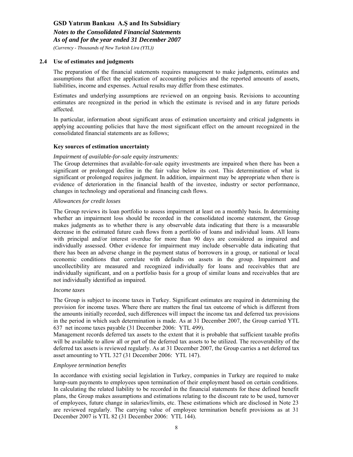*Notes to the Consolidated Financial Statements As of and for the year ended 31 December 2007* 

*(Currency - Thousands of New Turkish Lira (YTL))* 

#### **2.4 Use of estimates and judgments**

The preparation of the financial statements requires management to make judgments, estimates and assumptions that affect the application of accounting policies and the reported amounts of assets, liabilities, income and expenses. Actual results may differ from these estimates.

Estimates and underlying assumptions are reviewed on an ongoing basis. Revisions to accounting estimates are recognized in the period in which the estimate is revised and in any future periods affected.

In particular, information about significant areas of estimation uncertainty and critical judgments in applying accounting policies that have the most significant effect on the amount recognized in the consolidated financial statements are as follows;

#### **Key sources of estimation uncertainty**

#### *Impairment of available-for-sale equity instruments:*

 The Group determines that available-for-sale equity investments are impaired when there has been a significant or prolonged decline in the fair value below its cost. This determination of what is significant or prolonged requires judgment. In addition, impairment may be appropriate when there is evidence of deterioration in the financial health of the investee, industry or sector performance, changes in technology and operational and financing cash flows.

#### *Allowances for credit losses*

The Group reviews its loan portfolio to assess impairment at least on a monthly basis. In determining whether an impairment loss should be recorded in the consolidated income statement, the Group makes judgments as to whether there is any observable data indicating that there is a measurable decrease in the estimated future cash flows from a portfolio of loans and individual loans. All loans with principal and/or interest overdue for more than 90 days are considered as impaired and individually assessed. Other evidence for impairment may include observable data indicating that there has been an adverse change in the payment status of borrowers in a group, or national or local economic conditions that correlate with defaults on assets in the group. Impairment and uncollectibility are measured and recognized individually for loans and receivables that are individually significant, and on a portfolio basis for a group of similar loans and receivables that are not individually identified as impaired.

#### *Income taxes*

The Group is subject to income taxes in Turkey. Significant estimates are required in determining the provision for income taxes. Where there are matters the final tax outcome of which is different from the amounts initially recorded, such differences will impact the income tax and deferred tax provisions in the period in which such determination is made. As at 31 December 2007, the Group carried YTL 637 net income taxes payable (31 December 2006: YTL 499).

Management records deferred tax assets to the extent that it is probable that sufficient taxable profits will be available to allow all or part of the deferred tax assets to be utilized. The recoverability of the deferred tax assets is reviewed regularly. As at 31 December 2007, the Group carries a net deferred tax asset amounting to YTL 327 (31 December 2006: YTL 147).

#### *Employee termination benefits*

In accordance with existing social legislation in Turkey, companies in Turkey are required to make lump-sum payments to employees upon termination of their employment based on certain conditions. In calculating the related liability to be recorded in the financial statements for these defined benefit plans, the Group makes assumptions and estimations relating to the discount rate to be used, turnover of employees, future change in salaries/limits, etc. These estimations which are disclosed in Note 23 are reviewed regularly. The carrying value of employee termination benefit provisions as at 31 December 2007 is YTL 82 (31 December 2006: YTL 144).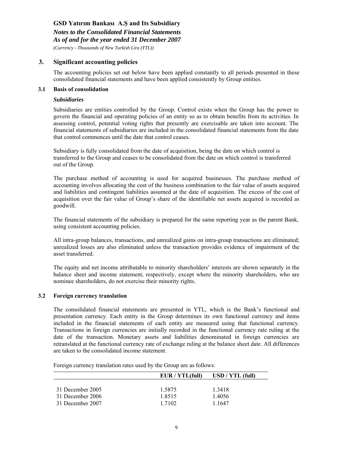*Notes to the Consolidated Financial Statements As of and for the year ended 31 December 2007* 

*(Currency - Thousands of New Turkish Lira (YTL))* 

#### **3. Significant accounting policies**

The accounting policies set out below have been applied constantly to all periods presented in these consolidated financial statements and have been applied consistently by Group entities.

#### **3.1 Basis of consolidation**

#### *Subsidiaries*

Subsidiaries are entities controlled by the Group. Control exists when the Group has the power to govern the financial and operating policies of an entity so as to obtain benefits from its activities. In assessing control, potential voting rights that presently are exercisable are taken into account. The financial statements of subsidiaries are included in the consolidated financial statements from the date that control commences until the date that control ceases.

Subsidiary is fully consolidated from the date of acquisition, being the date on which control is transferred to the Group and ceases to be consolidated from the date on which control is transferred out of the Group.

The purchase method of accounting is used for acquired businesses. The purchase method of accounting involves allocating the cost of the business combination to the fair value of assets acquired and liabilities and contingent liabilities assumed at the date of acquisition. The excess of the cost of acquisition over the fair value of Group's share of the identifiable net assets acquired is recorded as goodwill.

The financial statements of the subsidiary is prepared for the same reporting year as the parent Bank, using consistent accounting policies.

All intra-group balances, transactions, and unrealized gains on intra-group transactions are eliminated; unrealized losses are also eliminated unless the transaction provides evidence of impairment of the asset transferred.

The equity and net income attributable to minority shareholders' interests are shown separately in the balance sheet and income statement, respectively, except where the minority shareholders, who are nominee shareholders, do not exercise their minority rights.

#### **3.2 Foreign currency translation**

The consolidated financial statements are presented in YTL, which is the Bank's functional and presentation currency. Each entity in the Group determines its own functional currency and items included in the financial statements of each entity are measured using that functional currency. Transactions in foreign currencies are initially recorded in the functional currency rate ruling at the date of the transaction. Monetary assets and liabilities denominated in foreign currencies are retranslated at the functional currency rate of exchange ruling at the balance sheet date. All differences are taken to the consolidated income statement.

 **EUR / YTL(full) USD / YTL (full)**  31 December 2005 1.5875 1.3418 31 December 2006 1.8515 1.4056 31 December 2007 1.7102 1.1647

Foreign currency translation rates used by the Group are as follows: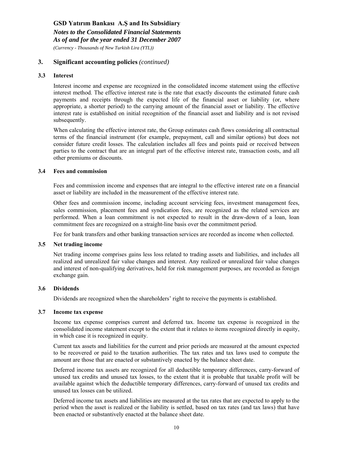*Notes to the Consolidated Financial Statements As of and for the year ended 31 December 2007* 

*(Currency - Thousands of New Turkish Lira (YTL))* 

# **3. Significant accounting policies** *(continued)*

#### **3.3 Interest**

Interest income and expense are recognized in the consolidated income statement using the effective interest method. The effective interest rate is the rate that exactly discounts the estimated future cash payments and receipts through the expected life of the financial asset or liability (or, where appropriate, a shorter period) to the carrying amount of the financial asset or liability. The effective interest rate is established on initial recognition of the financial asset and liability and is not revised subsequently.

When calculating the effective interest rate, the Group estimates cash flows considering all contractual terms of the financial instrument (for example, prepayment, call and similar options) but does not consider future credit losses. The calculation includes all fees and points paid or received between parties to the contract that are an integral part of the effective interest rate, transaction costs, and all other premiums or discounts.

# **3.4 Fees and commission**

Fees and commission income and expenses that are integral to the effective interest rate on a financial asset or liability are included in the measurement of the effective interest rate.

Other fees and commission income, including account servicing fees, investment management fees, sales commission, placement fees and syndication fees, are recognized as the related services are performed. When a loan commitment is not expected to result in the draw-down of a loan, loan commitment fees are recognized on a straight-line basis over the commitment period.

Fee for bank transfers and other banking transaction services are recorded as income when collected.

#### **3.5 Net trading income**

Net trading income comprises gains less loss related to trading assets and liabilities, and includes all realized and unrealized fair value changes and interest. Any realized or unrealized fair value changes and interest of non-qualifying derivatives, held for risk management purposes, are recorded as foreign exchange gain.

#### **3.6 Dividends**

Dividends are recognized when the shareholders' right to receive the payments is established.

#### **3.7 Income tax expense**

Income tax expense comprises current and deferred tax. Income tax expense is recognized in the consolidated income statement except to the extent that it relates to items recognized directly in equity, in which case it is recognized in equity.

Current tax assets and liabilities for the current and prior periods are measured at the amount expected to be recovered or paid to the taxation authorities. The tax rates and tax laws used to compute the amount are those that are enacted or substantively enacted by the balance sheet date.

Deferred income tax assets are recognized for all deductible temporary differences, carry-forward of unused tax credits and unused tax losses, to the extent that it is probable that taxable profit will be available against which the deductible temporary differences, carry-forward of unused tax credits and unused tax losses can be utilized.

Deferred income tax assets and liabilities are measured at the tax rates that are expected to apply to the period when the asset is realized or the liability is settled, based on tax rates (and tax laws) that have been enacted or substantively enacted at the balance sheet date.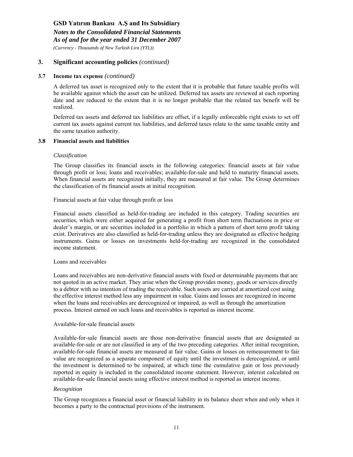*Notes to the Consolidated Financial Statements As of and for the year ended 31 December 2007* 

*(Currency - Thousands of New Turkish Lira (YTL))* 

# **3. Significant accounting policies** *(continued)*

#### **3.7 Income tax expense** *(continued)*

A deferred tax asset is recognized only to the extent that it is probable that future taxable profits will be available against which the asset can be utilized. Deferred tax assets are reviewed at each reporting date and are reduced to the extent that it is no longer probable that the related tax benefit will be realized.

Deferred tax assets and deferred tax liabilities are offset, if a legally enforceable right exists to set off current tax assets against current tax liabilities, and deferred taxes relate to the same taxable entity and the same taxation authority.

#### **3.8 Financial assets and liabilities**

# *Classification*

The Group classifies its financial assets in the following categories: financial assets at fair value through profit or loss; loans and receivables; available-for-sale and held to maturity financial assets. When financial assets are recognized initially, they are measured at fair value. The Group determines the classification of its financial assets at initial recognition.

Financial assets at fair value through profit or loss

Financial assets classified as held-for-trading are included in this category. Trading securities are securities, which were either acquired for generating a profit from short term fluctuations in price or dealer's margin, or are securities included in a portfolio in which a pattern of short term profit taking exist. Derivatives are also classified as held-for-trading unless they are designated as effective hedging instruments. Gains or losses on investments held-for-trading are recognized in the consolidated income statement.

#### Loans and receivables

Loans and receivables are non-derivative financial assets with fixed or determinable payments that are not quoted in an active market. They arise when the Group provides money, goods or services directly to a debtor with no intention of trading the receivable. Such assets are carried at amortized cost using the effective interest method less any impairment in value. Gains and losses are recognized in income when the loans and receivables are derecognized or impaired, as well as through the amortization process. Interest earned on such loans and receivables is reported as interest income.

#### Available-for-sale financial assets

Available-for-sale financial assets are those non-derivative financial assets that are designated as available-for-sale or are not classified in any of the two preceding categories. After initial recognition, available-for-sale financial assets are measured at fair value. Gains or losses on remeasurement to fair value are recognized as a separate component of equity until the investment is derecognized, or until the investment is determined to be impaired, at which time the cumulative gain or loss previously reported in equity is included in the consolidated income statement. However, interest calculated on available-for-sale financial assets using effective interest method is reported as interest income.

#### *Recognition*

The Group recognizes a financial asset or financial liability in its balance sheet when and only when it becomes a party to the contractual provisions of the instrument.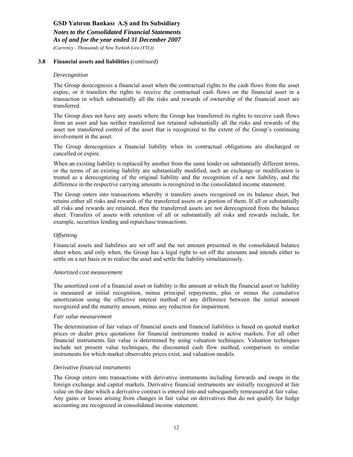*Notes to the Consolidated Financial Statements As of and for the year ended 31 December 2007* 

*(Currency - Thousands of New Turkish Lira (YTL))* 

#### **3.8 Financial assets and liabilities** *(continued)*

#### *Derecognition*

The Group derecognizes a financial asset when the contractual rights to the cash flows from the asset expire, or it transfers the rights to receive the contractual cash flows on the financial asset in a transaction in which substantially all the risks and rewards of ownership of the financial asset are transferred.

The Group does not have any assets where the Group has transferred its rights to receive cash flows from an asset and has neither transferred nor retained substantially all the risks and rewards of the asset nor transferred control of the asset that is recognized to the extent of the Group's continuing involvement in the asset.

The Group derecognizes a financial liability when its contractual obligations are discharged or cancelled or expire.

When an existing liability is replaced by another from the same lender on substantially different terms, or the terms of an existing liability are substantially modified, such an exchange or modification is treated as a derecognizing of the original liability and the recognition of a new liability, and the difference in the respective carrying amounts is recognized in the consolidated income statement.

The Group enters into transactions whereby it transfers assets recognized on its balance sheet, but retains either all risks and rewards of the transferred assets or a portion of them. If all or substantially all risks and rewards are retained, then the transferred assets are not derecognized from the balance sheet. Transfers of assets with retention of all or substantially all risks and rewards include, for example, securities lending and repurchase transactions.

#### *Offsetting*

Financial assets and liabilities are set off and the net amount presented in the consolidated balance sheet when, and only when, the Group has a legal right to set off the amounts and intends either to settle on a net basis or to realize the asset and settle the liability simultaneously.

#### *Amortized cost measurement*

The amortized cost of a financial asset or liability is the amount at which the financial asset or liability is measured at initial recognition, minus principal repayments, plus or minus the cumulative amortization using the effective interest method of any difference between the initial amount recognized and the maturity amount, minus any reduction for impairment.

#### *Fair value measurement*

The determination of fair values of financial assets and financial liabilities is based on quoted market prices or dealer price quotations for financial instruments traded in active markets. For all other financial instruments fair value is determined by using valuation techniques. Valuation techniques include net present value techniques, the discounted cash flow method, comparison to similar instruments for which market observable prices exist, and valuation models.

#### *Derivative financial instruments*

The Group enters into transactions with derivative instruments including forwards and swaps in the foreign exchange and capital markets. Derivative financial instruments are initially recognized at fair value on the date which a derivative contract is entered into and subsequently remeasured at fair value. Any gains or losses arising from changes in fair value on derivatives that do not qualify for hedge accounting are recognized in consolidated income statement.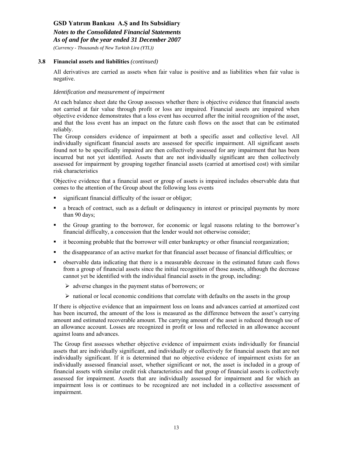*Notes to the Consolidated Financial Statements As of and for the year ended 31 December 2007* 

*(Currency - Thousands of New Turkish Lira (YTL))* 

#### **3.8 Financial assets and liabilities** *(continued)*

All derivatives are carried as assets when fair value is positive and as liabilities when fair value is negative.

#### *Identification and measurement of impairment*

At each balance sheet date the Group assesses whether there is objective evidence that financial assets not carried at fair value through profit or loss are impaired. Financial assets are impaired when objective evidence demonstrates that a loss event has occurred after the initial recognition of the asset, and that the loss event has an impact on the future cash flows on the asset that can be estimated reliably.

 The Group considers evidence of impairment at both a specific asset and collective level. All individually significant financial assets are assessed for specific impairment. All significant assets found not to be specifically impaired are then collectively assessed for any impairment that has been incurred but not yet identified. Assets that are not individually significant are then collectively assessed for impairment by grouping together financial assets (carried at amortised cost) with similar risk characteristics

Objective evidence that a financial asset or group of assets is impaired includes observable data that comes to the attention of the Group about the following loss events

- significant financial difficulty of the issuer or obligor;
- a breach of contract, such as a default or delinquency in interest or principal payments by more than 90 days;
- the Group granting to the borrower, for economic or legal reasons relating to the borrower's financial difficulty, a concession that the lender would not otherwise consider;
- it becoming probable that the borrower will enter bankruptcy or other financial reorganization;
- the disappearance of an active market for that financial asset because of financial difficulties; or
- observable data indicating that there is a measurable decrease in the estimated future cash flows from a group of financial assets since the initial recognition of those assets, although the decrease cannot yet be identified with the individual financial assets in the group, including:
	- $\triangleright$  adverse changes in the payment status of borrowers; or
	- $\triangleright$  national or local economic conditions that correlate with defaults on the assets in the group

If there is objective evidence that an impairment loss on loans and advances carried at amortized cost has been incurred, the amount of the loss is measured as the difference between the asset's carrying amount and estimated recoverable amount. The carrying amount of the asset is reduced through use of an allowance account. Losses are recognized in profit or loss and reflected in an allowance account against loans and advances.

The Group first assesses whether objective evidence of impairment exists individually for financial assets that are individually significant, and individually or collectively for financial assets that are not individually significant. If it is determined that no objective evidence of impairment exists for an individually assessed financial asset, whether significant or not, the asset is included in a group of financial assets with similar credit risk characteristics and that group of financial assets is collectively assessed for impairment. Assets that are individually assessed for impairment and for which an impairment loss is or continues to be recognized are not included in a collective assessment of impairment.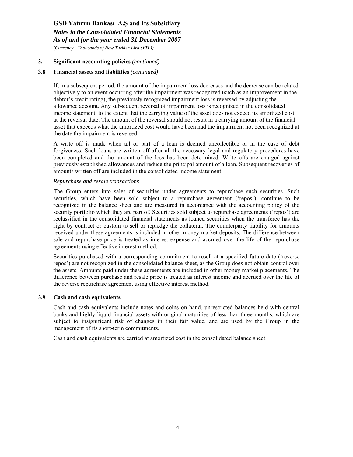## *Notes to the Consolidated Financial Statements As of and for the year ended 31 December 2007*

*(Currency - Thousands of New Turkish Lira (YTL))* 

## **3. Significant accounting policies** *(continued)*

# **3.8 Financial assets and liabilities** *(continued)*

If, in a subsequent period, the amount of the impairment loss decreases and the decrease can be related objectively to an event occurring after the impairment was recognized (such as an improvement in the debtor's credit rating), the previously recognized impairment loss is reversed by adjusting the allowance account. Any subsequent reversal of impairment loss is recognized in the consolidated income statement, to the extent that the carrying value of the asset does not exceed its amortized cost at the reversal date. The amount of the reversal should not result in a carrying amount of the financial asset that exceeds what the amortized cost would have been had the impairment not been recognized at the date the impairment is reversed.

A write off is made when all or part of a loan is deemed uncollectible or in the case of debt forgiveness. Such loans are written off after all the necessary legal and regulatory procedures have been completed and the amount of the loss has been determined. Write offs are charged against previously established allowances and reduce the principal amount of a loan. Subsequent recoveries of amounts written off are included in the consolidated income statement.

#### *Repurchase and resale transactions*

The Group enters into sales of securities under agreements to repurchase such securities. Such securities, which have been sold subject to a repurchase agreement ('repos'), continue to be recognized in the balance sheet and are measured in accordance with the accounting policy of the security portfolio which they are part of. Securities sold subject to repurchase agreements ('repos') are reclassified in the consolidated financial statements as loaned securities when the transferee has the right by contract or custom to sell or repledge the collateral. The counterparty liability for amounts received under these agreements is included in other money market deposits. The difference between sale and repurchase price is treated as interest expense and accrued over the life of the repurchase agreements using effective interest method.

Securities purchased with a corresponding commitment to resell at a specified future date ('reverse repos') are not recognized in the consolidated balance sheet, as the Group does not obtain control over the assets. Amounts paid under these agreements are included in other money market placements. The difference between purchase and resale price is treated as interest income and accrued over the life of the reverse repurchase agreement using effective interest method.

#### **3.9 Cash and cash equivalents**

Cash and cash equivalents include notes and coins on hand, unrestricted balances held with central banks and highly liquid financial assets with original maturities of less than three months, which are subject to insignificant risk of changes in their fair value, and are used by the Group in the management of its short-term commitments.

Cash and cash equivalents are carried at amortized cost in the consolidated balance sheet.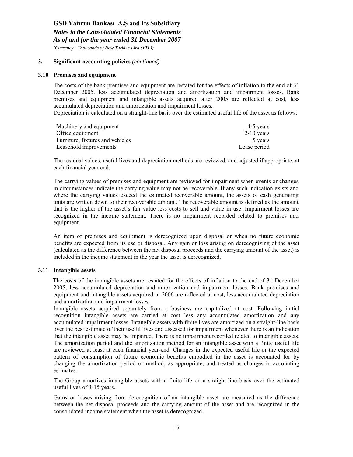*Notes to the Consolidated Financial Statements As of and for the year ended 31 December 2007* 

*(Currency - Thousands of New Turkish Lira (YTL))* 

#### **3. Significant accounting policies** *(continued)*

#### **3.10 Premises and equipment**

The costs of the bank premises and equipment are restated for the effects of inflation to the end of 31 December 2005, less accumulated depreciation and amortization and impairment losses. Bank premises and equipment and intangible assets acquired after 2005 are reflected at cost, less accumulated depreciation and amortization and impairment losses.

Depreciation is calculated on a straight-line basis over the estimated useful life of the asset as follows:

| Machinery and equipment          | 4-5 years    |
|----------------------------------|--------------|
| Office equipment                 | $2-10$ vears |
| Furniture, fixtures and vehicles | 5 years      |
| Leasehold improvements           | Lease period |

The residual values, useful lives and depreciation methods are reviewed, and adjusted if appropriate, at each financial year end.

The carrying values of premises and equipment are reviewed for impairment when events or changes in circumstances indicate the carrying value may not be recoverable. If any such indication exists and where the carrying values exceed the estimated recoverable amount, the assets of cash generating units are written down to their recoverable amount. The recoverable amount is defined as the amount that is the higher of the asset's fair value less costs to sell and value in use. Impairment losses are recognized in the income statement. There is no impairment recorded related to premises and equipment.

An item of premises and equipment is derecognized upon disposal or when no future economic benefits are expected from its use or disposal. Any gain or loss arising on derecognizing of the asset (calculated as the difference between the net disposal proceeds and the carrying amount of the asset) is included in the income statement in the year the asset is derecognized.

#### **3.11 Intangible assets**

 The costs of the intangible assets are restated for the effects of inflation to the end of 31 December 2005, less accumulated depreciation and amortization and impairment losses. Bank premises and equipment and intangible assets acquired in 2006 are reflected at cost, less accumulated depreciation and amortization and impairment losses.

Intangible assets acquired separately from a business are capitalized at cost. Following initial recognition intangible assets are carried at cost less any accumulated amortization and any accumulated impairment losses. Intangible assets with finite lives are amortized on a straight-line basis over the best estimate of their useful lives and assessed for impairment whenever there is an indication that the intangible asset may be impaired. There is no impairment recorded related to intangible assets. The amortization period and the amortization method for an intangible asset with a finite useful life are reviewed at least at each financial year-end. Changes in the expected useful life or the expected pattern of consumption of future economic benefits embodied in the asset is accounted for by changing the amortization period or method, as appropriate, and treated as changes in accounting estimates.

The Group amortizes intangible assets with a finite life on a straight-line basis over the estimated useful lives of 3-15 years.

Gains or losses arising from derecognition of an intangible asset are measured as the difference between the net disposal proceeds and the carrying amount of the asset and are recognized in the consolidated income statement when the asset is derecognized.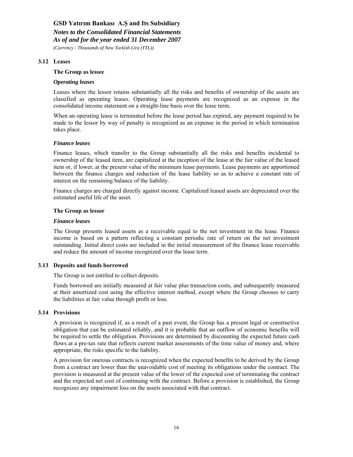# *Notes to the Consolidated Financial Statements As of and for the year ended 31 December 2007*

*(Currency - Thousands of New Turkish Lira (YTL))* 

#### **3.12 Leases**

#### **The Group as lessee**

#### *Operating leases*

Leases where the lessor retains substantially all the risks and benefits of ownership of the assets are classified as operating leases. Operating lease payments are recognized as an expense in the consolidated income statement on a straight-line basis over the lease term.

When an operating lease is terminated before the lease period has expired, any payment required to be made to the lessor by way of penalty is recognized as an expense in the period in which termination takes place.

#### *Finance leases*

Finance leases, which transfer to the Group substantially all the risks and benefits incidental to ownership of the leased item, are capitalized at the inception of the lease at the fair value of the leased item or, if lower, at the present value of the minimum lease payments. Lease payments are apportioned between the finance charges and reduction of the lease liability so as to achieve a constant rate of interest on the remaining balance of the liability.

Finance charges are charged directly against income. Capitalized leased assets are depreciated over the estimated useful life of the asset.

#### **The Group as lessor**

#### *Finance leases*

The Group presents leased assets as a receivable equal to the net investment in the lease. Finance income is based on a pattern reflecting a constant periodic rate of return on the net investment outstanding. Initial direct costs are included in the initial measurement of the finance lease receivable and reduce the amount of income recognized over the lease term.

#### **3.13 Deposits and funds borrowed**

The Group is not entitled to collect deposits.

Funds borrowed are initially measured at fair value plus transaction costs, and subsequently measured at their amortized cost using the effective interest method, except where the Group chooses to carry the liabilities at fair value through profit or loss.

## **3.14 Provisions**

A provision is recognized if, as a result of a past event, the Group has a present legal or constructive obligation that can be estimated reliably, and it is probable that an outflow of economic benefits will be required to settle the obligation. Provisions are determined by discounting the expected future cash flows at a pre-tax rate that reflects current market assessments of the time value of money and, where appropriate, the risks specific to the liability.

A provision for onerous contracts is recognized when the expected benefits to be derived by the Group from a contract are lower than the unavoidable cost of meeting its obligations under the contract. The provision is measured at the present value of the lower of the expected cost of terminating the contract and the expected net cost of continuing with the contract. Before a provision is established, the Group recognizes any impairment loss on the assets associated with that contract.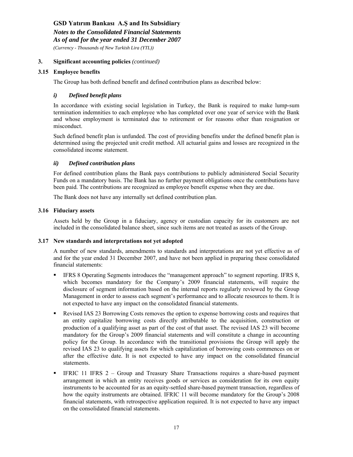#### *Notes to the Consolidated Financial Statements As of and for the year ended 31 December 2007*

*(Currency - Thousands of New Turkish Lira (YTL))* 

## **3. Significant accounting policies** *(continued)*

## **3.15 Employee benefits**

The Group has both defined benefit and defined contribution plans as described below:

# *i) Defined benefit plans*

In accordance with existing social legislation in Turkey, the Bank is required to make lump-sum termination indemnities to each employee who has completed over one year of service with the Bank and whose employment is terminated due to retirement or for reasons other than resignation or misconduct.

Such defined benefit plan is unfunded. The cost of providing benefits under the defined benefit plan is determined using the projected unit credit method. All actuarial gains and losses are recognized in the consolidated income statement.

# *ii) Defined contribution plans*

For defined contribution plans the Bank pays contributions to publicly administered Social Security Funds on a mandatory basis. The Bank has no further payment obligations once the contributions have been paid. The contributions are recognized as employee benefit expense when they are due.

The Bank does not have any internally set defined contribution plan.

# **3.16 Fiduciary assets**

Assets held by the Group in a fiduciary, agency or custodian capacity for its customers are not included in the consolidated balance sheet, since such items are not treated as assets of the Group.

#### **3.17 New standards and interpretations not yet adopted**

A number of new standards, amendments to standards and interpretations are not yet effective as of and for the year ended 31 December 2007, and have not been applied in preparing these consolidated financial statements:

- IFRS 8 Operating Segments introduces the "management approach" to segment reporting. IFRS 8, which becomes mandatory for the Company's 2009 financial statements, will require the disclosure of segment information based on the internal reports regularly reviewed by the Group Management in order to assess each segment's performance and to allocate resources to them. It is not expected to have any impact on the consolidated financial statements.
- Revised IAS 23 Borrowing Costs removes the option to expense borrowing costs and requires that an entity capitalize borrowing costs directly attributable to the acquisition, construction or production of a qualifying asset as part of the cost of that asset. The revised IAS 23 will become mandatory for the Group's 2009 financial statements and will constitute a change in accounting policy for the Group. In accordance with the transitional provisions the Group will apply the revised IAS 23 to qualifying assets for which capitalization of borrowing costs commences on or after the effective date. It is not expected to have any impact on the consolidated financial statements.
- **IFRIC** 11 IFRS 2 Group and Treasury Share Transactions requires a share-based payment arrangement in which an entity receives goods or services as consideration for its own equity instruments to be accounted for as an equity-settled share-based payment transaction, regardless of how the equity instruments are obtained. IFRIC 11 will become mandatory for the Group's 2008 financial statements, with retrospective application required. It is not expected to have any impact on the consolidated financial statements.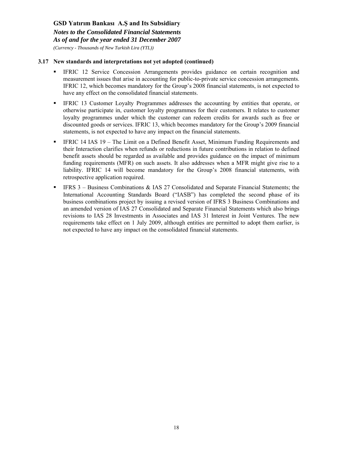*Notes to the Consolidated Financial Statements As of and for the year ended 31 December 2007* 

*(Currency - Thousands of New Turkish Lira (YTL))* 

## **3.17 New standards and interpretations not yet adopted (continued)**

- IFRIC 12 Service Concession Arrangements provides guidance on certain recognition and measurement issues that arise in accounting for public-to-private service concession arrangements. IFRIC 12, which becomes mandatory for the Group's 2008 financial statements, is not expected to have any effect on the consolidated financial statements.
- IFRIC 13 Customer Loyalty Programmes addresses the accounting by entities that operate, or otherwise participate in, customer loyalty programmes for their customers. It relates to customer loyalty programmes under which the customer can redeem credits for awards such as free or discounted goods or services. IFRIC 13, which becomes mandatory for the Group's 2009 financial statements, is not expected to have any impact on the financial statements.
- IFRIC 14 IAS 19 The Limit on a Defined Benefit Asset, Minimum Funding Requirements and their Interaction clarifies when refunds or reductions in future contributions in relation to defined benefit assets should be regarded as available and provides guidance on the impact of minimum funding requirements (MFR) on such assets. It also addresses when a MFR might give rise to a liability. IFRIC 14 will become mandatory for the Group's 2008 financial statements, with retrospective application required.
- IFRS 3 Business Combinations & IAS 27 Consolidated and Separate Financial Statements; the International Accounting Standards Board ("IASB") has completed the second phase of its business combinations project by issuing a revised version of IFRS 3 Business Combinations and an amended version of IAS 27 Consolidated and Separate Financial Statements which also brings revisions to IAS 28 Investments in Associates and IAS 31 Interest in Joint Ventures. The new requirements take effect on 1 July 2009, although entities are permitted to adopt them earlier, is not expected to have any impact on the consolidated financial statements.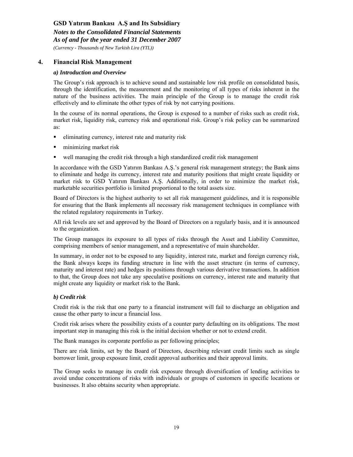*Notes to the Consolidated Financial Statements As of and for the year ended 31 December 2007* 

*(Currency - Thousands of New Turkish Lira (YTL))* 

# **4. Financial Risk Management**

#### *a) Introduction and Overview*

The Group's risk approach is to achieve sound and sustainable low risk profile on consolidated basis, through the identification, the measurement and the monitoring of all types of risks inherent in the nature of the business activities. The main principle of the Group is to manage the credit risk effectively and to eliminate the other types of risk by not carrying positions.

In the course of its normal operations, the Group is exposed to a number of risks such as credit risk, market risk, liquidity risk, currency risk and operational risk. Group's risk policy can be summarized as:

- eliminating currency, interest rate and maturity risk
- **numi** minimizing market risk
- well managing the credit risk through a high standardized credit risk management

In accordance with the GSD Yatırım Bankası A.Ş.'s general risk management strategy; the Bank aims to eliminate and hedge its currency, interest rate and maturity positions that might create liquidity or market risk to GSD Yatırım Bankası A.Ş. Additionally, in order to minimize the market risk, marketable securities portfolio is limited proportional to the total assets size.

Board of Directors is the highest authority to set all risk management guidelines, and it is responsible for ensuring that the Bank implements all necessary risk management techniques in compliance with the related regulatory requirements in Turkey.

All risk levels are set and approved by the Board of Directors on a regularly basis, and it is announced to the organization.

The Group manages its exposure to all types of risks through the Asset and Liability Committee, comprising members of senior management, and a representative of main shareholder.

In summary, in order not to be exposed to any liquidity, interest rate, market and foreign currency risk, the Bank always keeps its funding structure in line with the asset structure (in terms of currency, maturity and interest rate) and hedges its positions through various derivative transactions. In addition to that, the Group does not take any speculative positions on currency, interest rate and maturity that might create any liquidity or market risk to the Bank.

# *b) Credit risk*

Credit risk is the risk that one party to a financial instrument will fail to discharge an obligation and cause the other party to incur a financial loss.

Credit risk arises where the possibility exists of a counter party defaulting on its obligations. The most important step in managing this risk is the initial decision whether or not to extend credit.

The Bank manages its corporate portfolio as per following principles;

There are risk limits, set by the Board of Directors, describing relevant credit limits such as single borrower limit, group exposure limit, credit approval authorities and their approval limits.

 The Group seeks to manage its credit risk exposure through diversification of lending activities to avoid undue concentrations of risks with individuals or groups of customers in specific locations or businesses. It also obtains security when appropriate.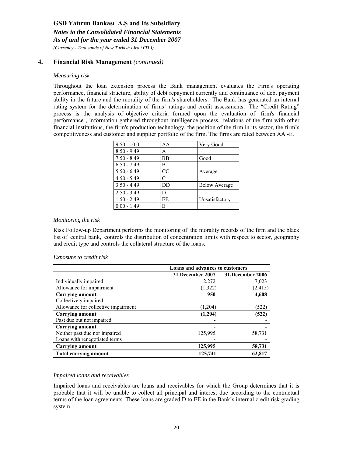# *Notes to the Consolidated Financial Statements As of and for the year ended 31 December 2007*

*(Currency - Thousands of New Turkish Lira (YTL))* 

# **4. Financial Risk Management** *(continued)*

#### *Measuring risk*

Throughout the loan extension process the Bank management evaluates the Firm's operating performance, financial structure, ability of debt repayment currently and continuance of debt payment ability in the future and the morality of the firm's shareholders. The Bank has generated an internal rating system for the determination of firms' ratings and credit assessments. The "Credit Rating" process is the analysis of objective criteria formed upon the evaluation of firm's financial performance , information gathered throughout intelligence process, relations of the firm with other financial institutions, the firm's production technology, the position of the firm in its sector, the firm's competitiveness and customer and supplier portfolio of the firm. The firms are rated between AA -E.

| $9.50 - 10.0$ | AA | Very Good            |
|---------------|----|----------------------|
| $8.50 - 9.49$ | A  |                      |
| $7.50 - 8.49$ | BB | Good                 |
| $6.50 - 7.49$ | В  |                      |
| $5.50 - 6.49$ | CC | Average              |
| $4.50 - 5.49$ | С  |                      |
| $3.50 - 4.49$ | DD | <b>Below Average</b> |
| $2.50 - 3.49$ | D  |                      |
| $1.50 - 2.49$ | EE | Unsatisfactory       |
| $0.00 - 1.49$ | E  |                      |

#### *Monitoring the risk*

Risk Follow-up Department performs the monitoring of the morality records of the firm and the black list of central bank, controls the distribution of concentration limits with respect to sector, geography and credit type and controls the collateral structure of the loans.

#### *Exposure to credit risk*

|                                     | Loans and advances to customers |                  |
|-------------------------------------|---------------------------------|------------------|
|                                     | 31 December 2007                | 31.December 2006 |
| Individually impaired               | 2,272                           | 7,023            |
| Allowance for impairment            | (1,322)                         | (2, 415)         |
| Carrying amount                     | 950                             | 4,608            |
| Collectively impaired               |                                 |                  |
| Allowance for collective impairment | (1,204)                         | (522)            |
| <b>Carrying amount</b>              | (1,204)                         | (522)            |
| Past due but not impaired           |                                 |                  |
| <b>Carrying amount</b>              |                                 |                  |
| Neither past due nor impaired       | 125,995                         | 58,731           |
| Loans with renegotiated terms       |                                 |                  |
| <b>Carrying amount</b>              | 125,995                         | 58,731           |
| <b>Total carrying amount</b>        | 125,741                         | 62,817           |

#### *Impaired loans and receivables*

Impaired loans and receivables are loans and receivables for which the Group determines that it is probable that it will be unable to collect all principal and interest due according to the contractual terms of the loan agreements. These loans are graded D to EE in the Bank's internal credit risk grading system.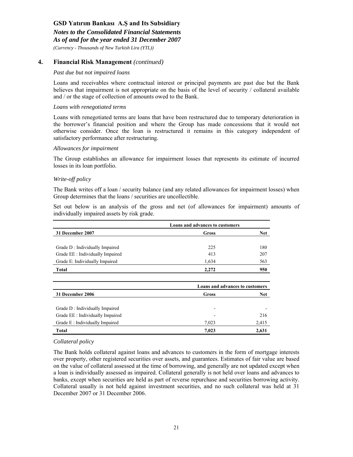*Notes to the Consolidated Financial Statements As of and for the year ended 31 December 2007* 

*(Currency - Thousands of New Turkish Lira (YTL))* 

# **4. Financial Risk Management** *(continued)*

#### *Past due but not impaired loans*

Loans and receivables where contractual interest or principal payments are past due but the Bank believes that impairment is not appropriate on the basis of the level of security / collateral available and / or the stage of collection of amounts owed to the Bank.

#### *Loans with renegotiated terms*

Loans with renegotiated terms are loans that have been restructured due to temporary deterioration in the borrower's financial position and where the Group has made concessions that it would not otherwise consider. Once the loan is restructured it remains in this category independent of satisfactory performance after restructuring.

#### *Allowances for impairment*

The Group establishes an allowance for impairment losses that represents its estimate of incurred losses in its loan portfolio.

#### *Write-off policy*

The Bank writes off a loan / security balance (and any related allowances for impairment losses) when Group determines that the loans / securities are uncollectible.

Set out below is an analysis of the gross and net (of allowances for impairment) amounts of individually impaired assets by risk grade.

|                                  | Loans and advances to customers |            |
|----------------------------------|---------------------------------|------------|
| 31 December 2007                 | Gross                           | <b>Net</b> |
|                                  |                                 |            |
| Grade D: Individually Impaired   | 225                             | 180        |
| Grade EE : Individually Impaired | 413                             | 207        |
| Grade E: Individually Impaired   | 1,634                           | 563        |
| Total                            | 2.272                           | 950        |

|                                  | Loans and advances to customers |            |
|----------------------------------|---------------------------------|------------|
| 31 December 2006                 | Gross                           | <b>Net</b> |
|                                  |                                 |            |
| Grade D: Individually Impaired   |                                 |            |
| Grade EE : Individually Impaired | -                               | 216        |
| Grade E: Individually Impaired   | 7,023                           | 2,415      |
| <b>Total</b>                     | 7,023                           | 2,631      |

#### *Collateral policy*

The Bank holds collateral against loans and advances to customers in the form of mortgage interests over property, other registered securities over assets, and guarantees. Estimates of fair value are based on the value of collateral assessed at the time of borrowing, and generally are not updated except when a loan is individually assessed as impaired. Collateral generally is not held over loans and advances to banks, except when securities are held as part of reverse repurchase and securities borrowing activity. Collateral usually is not held against investment securities, and no such collateral was held at 31 December 2007 or 31 December 2006.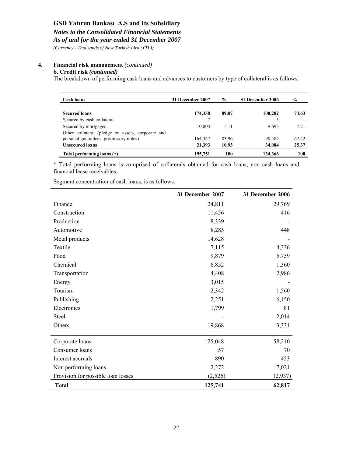# *Notes to the Consolidated Financial Statements As of and for the year ended 31 December 2007*

*(Currency - Thousands of New Turkish Lira (YTL))* 

# **4. Financial risk management** *(continued)*

# **b. Credit risk** *(continued)*

The breakdown of performing cash loans and advances to customers by type of collateral is as follows:

| <b>Cash loans</b>                                 | 31 December 2007 | $\frac{6}{9}$ | 31 December 2006 | $\%$  |
|---------------------------------------------------|------------------|---------------|------------------|-------|
|                                                   |                  |               |                  |       |
| <b>Secured loans</b>                              | 174.358          | 89.07         | 100.282          | 74.63 |
| Secured by cash collateral                        |                  |               |                  |       |
| Secured by mortgages                              | 10.004           | 5.11          | 9.693            | 7.21  |
| Other collateral (pledge on assets, corporate and |                  |               |                  |       |
| personal guarantees, promissory notes)            | 164,347          | 83.96         | 90,584           | 67.42 |
| <b>Unsecured loans</b>                            | 21.393           | 10.93         | 34,084           | 25.37 |
| Total performing loans (*)                        | 195,751          | 100           | 134.366          | 100   |

\* Total performing loans is comprised of collaterals obtained for cash loans, non cash loans and financial lease receivables.

Segment concentration of cash loans, is as follows:

|                                    | 31 December 2007 | 31 December 2006 |
|------------------------------------|------------------|------------------|
| Finance                            | 24,811           | 29,769           |
| Construction                       | 11,456           | 416              |
| Production                         | 8,339            |                  |
| Automotive                         | 8,285            | 448              |
| Metal products                     | 14,628           |                  |
| Textile                            | 7,115            | 4,336            |
| Food                               | 9,879            | 5,759            |
| Chemical                           | 6,852            | 1,360            |
| Transportation                     | 4,408            | 2,986            |
| Energy                             | 3,015            |                  |
| Tourism                            | 2,342            | 1,560            |
| Publishing                         | 2,251            | 6,150            |
| Electronics                        | 1,799            | 81               |
| Steel                              |                  | 2,014            |
| Others                             | 19,868           | 3,331            |
| Corporate loans                    | 125,048          | 58,210           |
| Consumer loans                     | 57               | 70               |
| Interest accruals                  | 890              | 453              |
| Non performing loans               | 2,272            | 7,021            |
| Provision for possible loan losses | (2,526)          | (2,937)          |
| <b>Total</b>                       | 125,741          | 62,817           |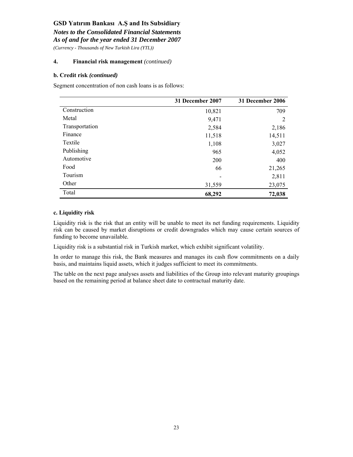*Notes to the Consolidated Financial Statements As of and for the year ended 31 December 2007* 

*(Currency - Thousands of New Turkish Lira (YTL))* 

# **4. Financial risk management** *(continued)*

#### **b. Credit risk** *(continued)*

Segment concentration of non cash loans is as follows:

|                | 31 December 2007 | 31 December 2006 |
|----------------|------------------|------------------|
| Construction   | 10,821           | 709              |
| Metal          | 9,471            | 2                |
| Transportation | 2,584            | 2,186            |
| Finance        | 11,518           | 14,511           |
| Textile        | 1,108            | 3,027            |
| Publishing     | 965              | 4,052            |
| Automotive     | 200              | 400              |
| Food           | 66               | 21,265           |
| Tourism        |                  | 2,811            |
| Other          | 31,559           | 23,075           |
| Total          | 68,292           | 72,038           |

# **c. Liquidity risk**

Liquidity risk is the risk that an entity will be unable to meet its net funding requirements. Liquidity risk can be caused by market disruptions or credit downgrades which may cause certain sources of funding to become unavailable*.* 

Liquidity risk is a substantial risk in Turkish market, which exhibit significant volatility.

In order to manage this risk, the Bank measures and manages its cash flow commitments on a daily basis, and maintains liquid assets, which it judges sufficient to meet its commitments.

The table on the next page analyses assets and liabilities of the Group into relevant maturity groupings based on the remaining period at balance sheet date to contractual maturity date.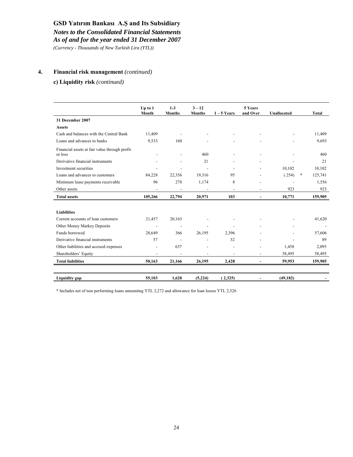*Notes to the Consolidated Financial Statements As of and for the year ended 31 December 2007* 

*(Currency - Thousands of New Turkish Lira (YTL))* 

# **4. Financial risk management** *(continued)*

**c) Liquidity risk** *(continued)*

|                                                          | Up to 1<br>Month | $1-3$<br><b>Months</b> | $3 - 12$<br><b>Months</b> | $1 - 5$ Years            | 5 Years<br>and Over | <b>Unallocated</b> |        | <b>Total</b> |
|----------------------------------------------------------|------------------|------------------------|---------------------------|--------------------------|---------------------|--------------------|--------|--------------|
| 31 December 2007                                         |                  |                        |                           |                          |                     |                    |        |              |
| <b>Assets</b>                                            |                  |                        |                           |                          |                     |                    |        |              |
| Cash and balances with the Central Bank                  | 11,409           |                        |                           |                          |                     |                    |        | 11,409       |
| Loans and advances to banks                              | 9,533            | 160                    |                           |                          |                     |                    |        | 9,693        |
| Financial assets at fair value through profit<br>or loss |                  |                        | 460                       |                          |                     |                    |        | 460          |
| Derivative financial instruments                         |                  |                        | 21                        |                          |                     |                    |        | 21           |
| Investment securities                                    |                  |                        |                           | $\overline{\phantom{a}}$ |                     | 10,102             |        | 10,102       |
| Loans and advances to customers                          | 84,228           | 22,356                 | 19,316                    | 95                       |                     | (254)              | $\ast$ | 125,741      |
| Minimum lease payments receivable                        | 96               | 278                    | 1,174                     | 8                        |                     |                    |        | 1,556        |
| Other assets                                             |                  |                        |                           |                          |                     | 923                |        | 923          |
| <b>Total assets</b>                                      | 105,266          | 22,794                 | 20,971                    | 103                      | L,                  | 10,771             |        | 159,905      |
|                                                          |                  |                        |                           |                          |                     |                    |        |              |
| <b>Liabilities</b>                                       |                  |                        |                           |                          |                     |                    |        |              |
| Current accounts of loan customers                       | 21,457           | 20,163                 |                           |                          |                     |                    |        | 41,620       |
| Other Money Markey Deposits                              |                  |                        |                           |                          |                     |                    |        |              |
| Funds borrowed                                           | 28,649           | 366                    | 26,195                    | 2,396                    |                     |                    |        | 57,606       |
| Derivative financial instruments                         | 57               |                        |                           | 32                       |                     |                    |        | 89           |
| Other liabilities and accrued expenses                   |                  | 637                    |                           | $\overline{a}$           |                     | 1,458              |        | 2,095        |
| Shareholders' Equity                                     |                  |                        |                           |                          |                     | 58,495             |        | 58,495       |
| <b>Total liabilities</b>                                 | 50,163           | 21,166                 | 26,195                    | 2,428                    |                     | 59,953             |        | 159,905      |
| Liquidity gap                                            | 55,103           | 1.628                  | (5,224)                   | (2,325)                  |                     | (49, 182)          |        |              |

\* Includes net of non performing loans amounting YTL 2,272 and allowance for loan losses YTL 2,526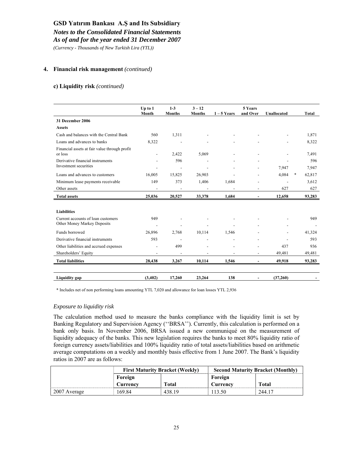*Notes to the Consolidated Financial Statements As of and for the year ended 31 December 2007* 

*(Currency - Thousands of New Turkish Lira (YTL))* 

## **4. Financial risk management** *(continued)*

# **c) Liquidity risk** *(continued)*

|                                                          | Up to 1<br>Month | $1 - 3$<br><b>Months</b> | $3 - 12$<br><b>Months</b> | $1 - 5$ Years | 5 Years<br>and Over | <b>Unallocated</b> | <b>Total</b>     |
|----------------------------------------------------------|------------------|--------------------------|---------------------------|---------------|---------------------|--------------------|------------------|
| <b>31 December 2006</b>                                  |                  |                          |                           |               |                     |                    |                  |
| <b>Assets</b>                                            |                  |                          |                           |               |                     |                    |                  |
| Cash and balances with the Central Bank                  | 560              | 1,311                    |                           |               |                     |                    | 1,871            |
| Loans and advances to banks                              | 8,322            |                          |                           |               |                     |                    | 8,322            |
| Financial assets at fair value through profit<br>or loss |                  | 2,422                    | 5,069                     |               |                     |                    | 7,491            |
| Derivative financial instruments                         |                  | 596                      |                           |               |                     |                    | 596              |
| Investment securities                                    |                  |                          |                           |               |                     | 7,947              | 7,947            |
| Loans and advances to customers                          | 16,005           | 15,825                   | 26,903                    |               |                     | 4,084              | $\ast$<br>62,817 |
| Minimum lease payments receivable                        | 149              | 373                      | 1,406                     | 1,684         |                     |                    | 3,612            |
| Other assets                                             |                  |                          |                           |               | $\overline{a}$      | 627                | 627              |
| <b>Total assets</b>                                      | 25,036           | 20,527                   | 33,378                    | 1,684         |                     | 12,658             | 93,283           |
|                                                          |                  |                          |                           |               |                     |                    |                  |
| <b>Liabilities</b>                                       |                  |                          |                           |               |                     |                    |                  |
| Current accounts of loan customers                       | 949              |                          |                           |               |                     |                    | 949              |
| Other Money Markey Deposits                              |                  |                          |                           |               |                     |                    |                  |
| Funds borrowed                                           | 26,896           | 2,768                    | 10,114                    | 1,546         |                     |                    | 41,324           |
| Derivative financial instruments                         | 593              |                          |                           |               |                     |                    | 593              |
| Other liabilities and accrued expenses                   |                  | 499                      |                           |               | $\overline{a}$      | 437                | 936              |
| Shareholders' Equity                                     |                  |                          |                           |               |                     | 49,481             | 49,481           |
| <b>Total liabilities</b>                                 | 28,438           | 3,267                    | 10,114                    | 1,546         |                     | 49,918             | 93,283           |
| Liquidity gap                                            | (3, 402)         | 17,260                   | 23,264                    | 138           |                     | (37,260)           |                  |

\* Includes net of non performing loans amounting YTL 7,020 and allowance for loan losses YTL 2,936

#### *Exposure to liquidity risk*

The calculation method used to measure the banks compliance with the liquidity limit is set by Banking Regulatory and Supervision Agency (''BRSA''). Currently, this calculation is performed on a bank only basis. In November 2006, BRSA issued a new communiqué on the measurement of liquidity adequacy of the banks. This new legislation requires the banks to meet 80% liquidity ratio of foreign currency assets/liabilities and 100% liquidity ratio of total assets/liabilities based on arithmetic average computations on a weekly and monthly basis effective from 1 June 2007. The Bank's liquidity ratios in 2007 are as follows:

|              | <b>First Maturity Bracket (Weekly)</b> |        | <b>Second Maturity Bracket (Monthly)</b> |              |  |
|--------------|----------------------------------------|--------|------------------------------------------|--------------|--|
|              | Foreign                                |        | Foreign                                  |              |  |
|              | Currencv                               | Total  | Currencv                                 | <b>Total</b> |  |
| 2007 Average | 169 84                                 | 438 19 |                                          | . 244 17     |  |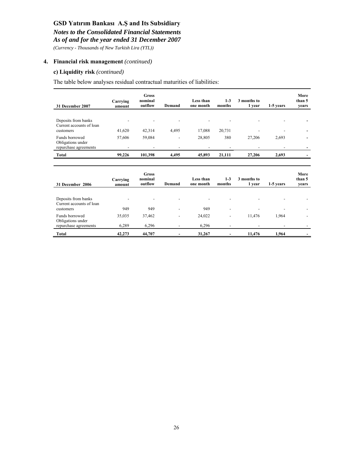# *Notes to the Consolidated Financial Statements As of and for the year ended 31 December 2007*

*(Currency - Thousands of New Turkish Lira (YTL))* 

# **4. Financial risk management** *(continued)*

# **c) Liquidity risk** *(continued)*

The table below analyses residual contractual maturities of liabilities:

| 31 December 2007                                             | Carrying<br>amount | Gross<br>nominal<br>outflow | Demand                                               | Less than<br>one month | $1 - 3$<br>months                  | 3 months to<br>1 year                                | 1-5 years | More<br>than 5<br>years |
|--------------------------------------------------------------|--------------------|-----------------------------|------------------------------------------------------|------------------------|------------------------------------|------------------------------------------------------|-----------|-------------------------|
| Deposits from banks<br>Current accounts of loan<br>customers | 41,620             | 42,314                      | $\overline{\phantom{a}}$<br>4,495                    | 17,088                 | $\overline{\phantom{0}}$<br>20,731 | $\overline{\phantom{0}}$<br>$\overline{\phantom{0}}$ |           |                         |
| Funds borrowed<br>Obligations under<br>repurchase agreements | 57,606             | 59,084                      | $\overline{\phantom{a}}$<br>$\overline{\phantom{a}}$ | 28,805                 | 380                                | 27,206                                               | 2,693     |                         |
| <b>Total</b>                                                 | 99,226             | 101,398                     | 4.495                                                | 45,893                 | 21.111                             | 27,206                                               | 2,693     |                         |

| 31 December 2006                                | Carrying<br>amount | Gross<br>nominal<br>outflow | Demand                   | Less than<br>one month | $1 - 3$<br>months        | 3 months to<br>1 year    | 1-5 years | More<br>than 5<br>years |
|-------------------------------------------------|--------------------|-----------------------------|--------------------------|------------------------|--------------------------|--------------------------|-----------|-------------------------|
| Deposits from banks<br>Current accounts of loan |                    |                             | $\overline{\phantom{a}}$ |                        | $\overline{\phantom{a}}$ | $\overline{\phantom{a}}$ |           |                         |
| customers                                       | 949                | 949                         | $\overline{\phantom{a}}$ | 949                    | $\overline{\phantom{0}}$ | $\overline{\phantom{0}}$ | -         |                         |
| Funds borrowed<br>Obligations under             | 35,035             | 37,462                      | $\overline{\phantom{a}}$ | 24,022                 | $\overline{\phantom{a}}$ | 11,476                   | 1,964     |                         |
| repurchase agreements                           | 6,289              | 6,296                       | $\overline{\phantom{a}}$ | 6,296                  |                          |                          |           |                         |
| <b>Total</b>                                    | 42,273             | 44,707                      | $\overline{\phantom{0}}$ | 31,267                 |                          | 11.476                   | 1.964     |                         |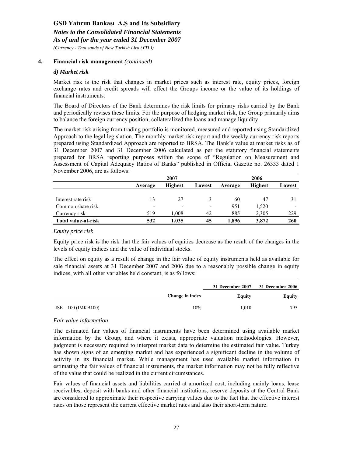*Notes to the Consolidated Financial Statements As of and for the year ended 31 December 2007* 

*(Currency - Thousands of New Turkish Lira (YTL))* 

## **4. Financial risk management** *(continued)*

#### *d) Market risk*

Market risk is the risk that changes in market prices such as interest rate, equity prices, foreign exchange rates and credit spreads will effect the Groups income or the value of its holdings of financial instruments.

The Board of Directors of the Bank determines the risk limits for primary risks carried by the Bank and periodically revises these limits. For the purpose of hedging market risk, the Group primarily aims to balance the foreign currency position, collateralized the loans and manage liquidity.

The market risk arising from trading portfolio is monitored, measured and reported using Standardized Approach to the legal legislation. The monthly market risk report and the weekly currency risk reports prepared using Standardized Approach are reported to BRSA. The Bank's value at market risks as of 31 December 2007 and 31 December 2006 calculated as per the statutory financial statements prepared for BRSA reporting purposes within the scope of "Regulation on Measurement and Assessment of Capital Adequacy Ratios of Banks" published in Official Gazette no. 26333 dated 1 November 2006, are as follows:

|                            | 2007                                |                          |    | 2006    |                |                          |
|----------------------------|-------------------------------------|--------------------------|----|---------|----------------|--------------------------|
|                            | <b>Highest</b><br>Lowest<br>Average |                          |    | Average | <b>Highest</b> | Lowest                   |
|                            |                                     |                          |    |         |                |                          |
| Interest rate risk         | 13                                  | 27                       | ι  | 60      | 47             | 31                       |
| Common share risk          | $\overline{\phantom{a}}$            | $\overline{\phantom{a}}$ | -  | 951     | 1,520          | $\overline{\phantom{a}}$ |
| Currency risk              | 519                                 | .008                     | 42 | 885     | 2,305          | 229                      |
| <b>Total value-at-risk</b> | 532                                 | 1.035                    | 45 | 1.896   | 3.872          | 260                      |

#### *Equity price risk*

Equity price risk is the risk that the fair values of equities decrease as the result of the changes in the levels of equity indices and the value of individual stocks.

The effect on equity as a result of change in the fair value of equity instruments held as available for sale financial assets at 31 December 2007 and 2006 due to a reasonably possible change in equity indices, with all other variables held constant, is as follows:

|                       |                 | 31 December 2007 | <b>31 December 2006</b> |
|-----------------------|-----------------|------------------|-------------------------|
|                       | Change in index | Equity           | Equity                  |
| $ISE - 100$ (IMKB100) | 10%             | 1.010            | 795                     |

#### *Fair value information*

The estimated fair values of financial instruments have been determined using available market information by the Group, and where it exists, appropriate valuation methodologies. However, judgment is necessary required to interpret market data to determine the estimated fair value. Turkey has shown signs of an emerging market and has experienced a significant decline in the volume of activity in its financial market. While management has used available market information in estimating the fair values of financial instruments, the market information may not be fully reflective of the value that could be realized in the current circumstances.

Fair values of financial assets and liabilities carried at amortized cost, including mainly loans, lease receivables, deposit with banks and other financial institutions, reserve deposits at the Central Bank are considered to approximate their respective carrying values due to the fact that the effective interest rates on those represent the current effective market rates and also their short-term nature.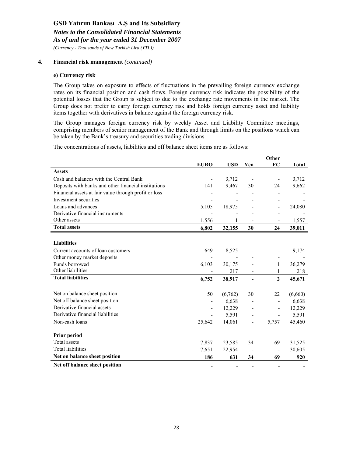*Notes to the Consolidated Financial Statements As of and for the year ended 31 December 2007* 

*(Currency - Thousands of New Turkish Lira (YTL))* 

# **4. Financial risk management** *(continued)*

#### **e) Currency risk**

The Group takes on exposure to effects of fluctuations in the prevailing foreign currency exchange rates on its financial position and cash flows. Foreign currency risk indicates the possibility of the potential losses that the Group is subject to due to the exchange rate movements in the market. The Group does not prefer to carry foreign currency risk and holds foreign currency asset and liability items together with derivatives in balance against the foreign currency risk.

The Group manages foreign currency risk by weekly Asset and Liability Committee meetings, comprising members of senior management of the Bank and through limits on the positions which can be taken by the Bank's treasury and securities trading divisions.

The concentrations of assets, liabilities and off balance sheet items are as follows:

|                                                       | <b>EURO</b> | <b>USD</b> | Yen                      | Other<br>FC                  | <b>Total</b> |
|-------------------------------------------------------|-------------|------------|--------------------------|------------------------------|--------------|
| <b>Assets</b>                                         |             |            |                          |                              |              |
| Cash and balances with the Central Bank               |             | 3,712      |                          |                              | 3,712        |
| Deposits with banks and other financial institutions  | 141         | 9,467      | 30                       | 24                           | 9,662        |
| Financial assets at fair value through profit or loss |             |            |                          |                              |              |
| Investment securities                                 |             |            |                          |                              |              |
| Loans and advances                                    | 5,105       | 18,975     |                          |                              |              |
| Derivative financial instruments                      |             |            |                          | $\overline{\phantom{a}}$     | 24,080       |
| Other assets                                          |             |            |                          |                              |              |
| <b>Total assets</b>                                   | 1,556       | 1          |                          |                              | 1,557        |
|                                                       | 6,802       | 32,155     | 30                       | 24                           | 39,011       |
|                                                       |             |            |                          |                              |              |
| <b>Liabilities</b>                                    |             |            |                          |                              |              |
| Current accounts of loan customers                    | 649         | 8,525      |                          |                              | 9,174        |
| Other money market deposits                           |             |            |                          |                              |              |
| Funds borrowed                                        | 6,103       | 30,175     |                          | 1                            | 36,279       |
| Other liabilities                                     |             | 217        |                          | 1                            | 218          |
| <b>Total liabilities</b>                              | 6,752       | 38,917     | $\blacksquare$           | $\mathbf{2}$                 | 45,671       |
|                                                       |             |            |                          |                              |              |
| Net on balance sheet position                         | 50          | (6,762)    | 30                       | 22                           | (6,660)      |
| Net off balance sheet position                        |             | 6,638      |                          |                              | 6,638        |
| Derivative financial assets                           |             | 12,229     |                          |                              | 12,229       |
| Derivative financial liabilities                      |             | 5,591      |                          |                              | 5,591        |
| Non-cash loans                                        | 25,642      | 14,061     | $\overline{\phantom{a}}$ | 5,757                        | 45,460       |
|                                                       |             |            |                          |                              |              |
| Prior period                                          |             |            |                          |                              |              |
| Total assets                                          | 7,837       | 23,585     | 34                       | 69                           | 31,525       |
| Total liabilities                                     | 7,651       | 22,954     |                          | $\qquad \qquad \blacksquare$ | 30,605       |
| Net on balance sheet position                         | 186         | 631        | 34                       | 69                           | 920          |
| Net off balance sheet position                        |             |            |                          |                              |              |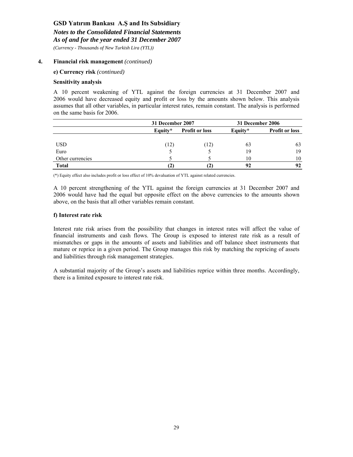*Notes to the Consolidated Financial Statements As of and for the year ended 31 December 2007* 

*(Currency - Thousands of New Turkish Lira (YTL))* 

## **4. Financial risk management** *(continued)*

**e) Currency risk** *(continued)*

## **Sensitivity analysis**

A 10 percent weakening of YTL against the foreign currencies at 31 December 2007 and 2006 would have decreased equity and profit or loss by the amounts shown below. This analysis assumes that all other variables, in particular interest rates, remain constant. The analysis is performed on the same basis for 2006.

|                  | 31 December 2007 |                       | 31 December 2006 |                       |
|------------------|------------------|-----------------------|------------------|-----------------------|
|                  | Equity*          | <b>Profit or loss</b> | Equity*          | <b>Profit or loss</b> |
|                  |                  |                       |                  |                       |
| <b>USD</b>       | [12]             | (12)                  | 63               | 63                    |
| Euro             |                  |                       | 19               | 19                    |
| Other currencies |                  |                       | 10               | 10                    |
| <b>Total</b>     |                  |                       | 92               | 92                    |

(\*) Equity effect also includes profit or loss effect of 10% devaluation of YTL against related currencies.

A 10 percent strengthening of the YTL against the foreign currencies at 31 December 2007 and 2006 would have had the equal but opposite effect on the above currencies to the amounts shown above, on the basis that all other variables remain constant.

# **f) Interest rate risk**

Interest rate risk arises from the possibility that changes in interest rates will affect the value of financial instruments and cash flows. The Group is exposed to interest rate risk as a result of mismatches or gaps in the amounts of assets and liabilities and off balance sheet instruments that mature or reprice in a given period. The Group manages this risk by matching the repricing of assets and liabilities through risk management strategies.

A substantial majority of the Group's assets and liabilities reprice within three months. Accordingly, there is a limited exposure to interest rate risk.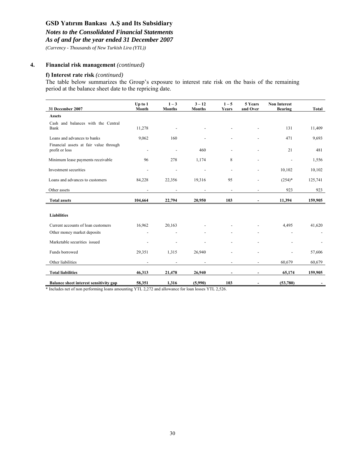*Notes to the Consolidated Financial Statements As of and for the year ended 31 December 2007* 

*(Currency - Thousands of New Turkish Lira (YTL))* 

# **4. Financial risk management** *(continued)*

#### **f) Interest rate risk** *(continued)*

The table below summarizes the Group's exposure to interest rate risk on the basis of the remaining period at the balance sheet date to the repricing date.

| 31 December 2007                                         | Up to 1<br>Month         | $1 - 3$<br><b>Months</b> | $3 - 12$<br><b>Months</b> | $1 - 5$<br>Years         | 5 Years<br>and Over | <b>Non Interest</b><br><b>Bearing</b> | Total   |
|----------------------------------------------------------|--------------------------|--------------------------|---------------------------|--------------------------|---------------------|---------------------------------------|---------|
| <b>Assets</b>                                            |                          |                          |                           |                          |                     |                                       |         |
| Cash and balances with the Central<br>Bank               | 11,278                   |                          |                           |                          |                     | 131                                   | 11,409  |
| Loans and advances to banks                              | 9,062                    | 160                      |                           |                          |                     | 471                                   | 9,693   |
| Financial assets at fair value through<br>profit or loss | $\overline{a}$           |                          | 460                       |                          |                     | 21                                    | 481     |
| Minimum lease payments receivable                        | 96                       | 278                      | 1,174                     | 8                        |                     | $\overline{\phantom{a}}$              | 1,556   |
| Investment securities                                    | $\overline{\phantom{a}}$ |                          | $\overline{\phantom{a}}$  | $\overline{\phantom{a}}$ |                     | 10,102                                | 10,102  |
| Loans and advances to customers                          | 84,228                   | 22,356                   | 19,316                    | 95                       |                     | $(254)*$                              | 125,741 |
| Other assets                                             |                          |                          |                           | $\overline{\phantom{a}}$ |                     | 923                                   | 923     |
| <b>Total assets</b>                                      | 104,664                  | 22,794                   | 20,950                    | 103                      |                     | 11,394                                | 159,905 |
| <b>Liabilities</b>                                       |                          |                          |                           |                          |                     |                                       |         |
| Current accounts of loan customers                       | 16,962                   | 20,163                   |                           |                          |                     | 4,495                                 | 41,620  |
| Other money market deposits                              |                          |                          |                           |                          |                     |                                       |         |
| Marketable securities issued                             |                          |                          |                           |                          |                     |                                       |         |
| Funds borrowed                                           | 29,351                   | 1,315                    | 26,940                    |                          |                     |                                       | 57,606  |
| Other liabilities                                        |                          |                          |                           |                          |                     | 60,679                                | 60,679  |
| <b>Total liabilities</b>                                 | 46,313                   | 21,478                   | 26,940                    |                          |                     | 65,174                                | 159,905 |
| Balance sheet interest sensitivity gap                   | 58,351                   | 1,316                    | (5,990)                   | 103                      |                     | (53,780)                              |         |

\* Includes net of non performing loans amounting YTL 2,272 and allowance for loan losses YTL 2,526.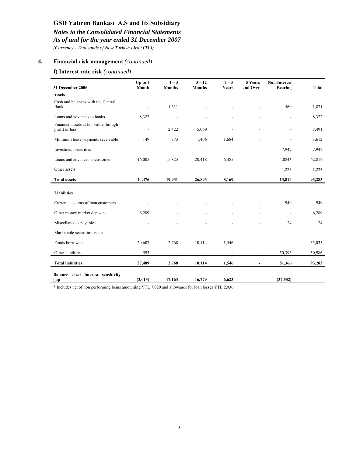# *Notes to the Consolidated Financial Statements As of and for the year ended 31 December 2007*

*(Currency - Thousands of New Turkish Lira (YTL))* 

# **4. Financial risk management** *(continued)*

#### **f) Interest rate risk** *(continued)*

| 31 December 2006                                         | Up to 1<br>Month         | $1 - 3$<br><b>Months</b> | $3 - 12$<br><b>Months</b> | $1 - 5$<br>Years         | 5 Years<br>and Over      | <b>Non-Interest</b><br><b>Bearing</b> | Total  |
|----------------------------------------------------------|--------------------------|--------------------------|---------------------------|--------------------------|--------------------------|---------------------------------------|--------|
| <b>Assets</b>                                            |                          |                          |                           |                          |                          |                                       |        |
| Cash and balances with the Central<br>Bank               | $\overline{\phantom{a}}$ | 1,311                    |                           |                          |                          | 560                                   | 1,871  |
| Loans and advances to banks                              | 8,322                    |                          |                           |                          |                          |                                       | 8,322  |
| Financial assets at fair value through<br>profit or loss | $\overline{\phantom{a}}$ | 2,422                    | 5,069                     |                          |                          |                                       | 7,491  |
| Minimum lease payments receivable                        | 149                      | 373                      | 1,406                     | 1,684                    |                          | $\overline{a}$                        | 3,612  |
| Investment securities                                    | $\overline{\phantom{0}}$ | $\overline{\phantom{a}}$ | $\overline{\phantom{a}}$  | $\overline{\phantom{a}}$ |                          | 7,947                                 | 7,947  |
| Loans and advances to customers                          | 16,005                   | 15,825                   | 20,418                    | 6,485                    |                          | 4,084*                                | 62,817 |
| Other assets                                             | $\overline{\phantom{a}}$ | $\blacksquare$           | $\overline{\phantom{a}}$  | $\overline{\phantom{a}}$ | $\overline{\phantom{a}}$ | 1,223                                 | 1,223  |
| <b>Total assets</b>                                      | 24,476                   | 19,931                   | 26,893                    | 8,169                    | -                        | 13,814                                | 93,283 |
| <b>Liabilities</b>                                       |                          |                          |                           |                          |                          |                                       |        |
| Current accounts of loan customers                       |                          |                          |                           |                          |                          | 949                                   | 949    |
| Other money market deposits                              | 6,289                    |                          |                           |                          |                          | $\overline{\phantom{a}}$              | 6,289  |
| Miscellaneous payables                                   |                          |                          |                           |                          |                          | 24                                    | 24     |
| Marketable securities issued                             |                          |                          |                           |                          |                          |                                       |        |
| Funds borrowed                                           | 20,607                   | 2,768                    | 10,114                    | 1,546                    |                          | $\overline{a}$                        | 35,035 |
| Other liabilities                                        | 593                      | $\overline{\phantom{a}}$ |                           |                          | $\overline{a}$           | 50,393                                | 50,986 |
| <b>Total liabilities</b>                                 | 27,489                   | 2,768                    | 10,114                    | 1,546                    | $\overline{\phantom{0}}$ | 51,366                                | 93,283 |
| Balance sheet interest sensitivity<br>gap                | (3,013)                  | 17.163                   | 16,779                    | 6.623                    |                          | (37, 552)                             |        |

\* Includes net of non performing loans amounting YTL 7,020 and allowance for loan losses YTL 2,936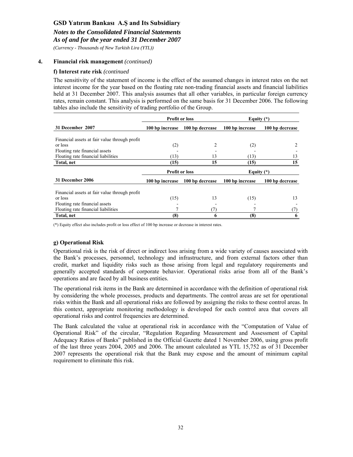*Notes to the Consolidated Financial Statements As of and for the year ended 31 December 2007* 

*(Currency - Thousands of New Turkish Lira (YTL))* 

#### **4. Financial risk management** *(continued)*

## **f) Interest rate risk** *(continued*

The sensitivity of the statement of income is the effect of the assumed changes in interest rates on the net interest income for the year based on the floating rate non-trading financial assets and financial liabilities held at 31 December 2007. This analysis assumes that all other variables, in particular foreign currency rates, remain constant. This analysis is performed on the same basis for 31 December 2006. The following tables also include the sensitivity of trading portfolio of the Group.

|                                                                       | <b>Profit or loss</b> |                 | Equity $(*)$    |                 |
|-----------------------------------------------------------------------|-----------------------|-----------------|-----------------|-----------------|
| 31 December 2007                                                      | 100 bp increase       | 100 bp decrease | 100 bp increase | 100 bp decrease |
| Financial assets at fair value through profit                         |                       |                 |                 |                 |
| or loss                                                               | (2)                   | 2               | (2)             | 2               |
| Floating rate financial assets                                        |                       |                 |                 |                 |
| Floating rate financial liabilities                                   | (13)                  | 13              | (13)            | 13              |
| Total, net                                                            | (15)                  | 15              | (15)            | 15              |
|                                                                       |                       |                 |                 |                 |
|                                                                       | <b>Profit or loss</b> |                 | Equity $(*)$    |                 |
| 31 December 2006                                                      | 100 bp increase       | 100 bp decrease | 100 bp increase | 100 bp decrease |
|                                                                       |                       |                 |                 |                 |
| Financial assets at fair value through profit                         |                       |                 |                 |                 |
| or loss                                                               | (15)                  | 13              | (15)            | 13              |
| Floating rate financial assets<br>Floating rate financial liabilities |                       |                 |                 | (7)             |

(\*) Equity effect also includes profit or loss effect of 100 bp increase or decrease in interest rates.

#### **g) Operational Risk**

Operational risk is the risk of direct or indirect loss arising from a wide variety of causes associated with the Bank's processes, personnel, technology and infrastructure, and from external factors other than credit, market and liquidity risks such as those arising from legal and regulatory requirements and generally accepted standards of corporate behavior. Operational risks arise from all of the Bank's operations and are faced by all business entities.

The operational risk items in the Bank are determined in accordance with the definition of operational risk by considering the whole processes, products and departments. The control areas are set for operational risks within the Bank and all operational risks are followed by assigning the risks to these control areas. In this context, appropriate monitoring methodology is developed for each control area that covers all operational risks and control frequencies are determined.

The Bank calculated the value at operational risk in accordance with the "Computation of Value of Operational Risk" of the circular, "Regulation Regarding Measurement and Assessment of Capital Adequacy Ratios of Banks" published in the Official Gazette dated 1 November 2006, using gross profit of the last three years 2004, 2005 and 2006. The amount calculated as YTL 15,752 as of 31 December 2007 represents the operational risk that the Bank may expose and the amount of minimum capital requirement to eliminate this risk.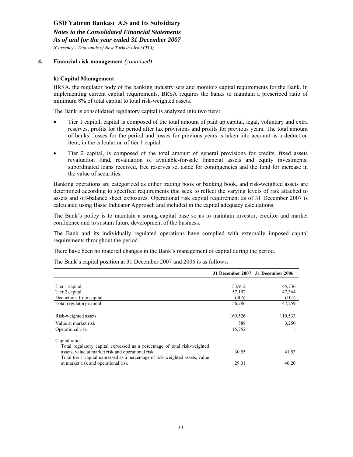*Notes to the Consolidated Financial Statements As of and for the year ended 31 December 2007* 

*(Currency - Thousands of New Turkish Lira (YTL))* 

## **4. Financial risk management** *(continued)*

## **h) Capital Management**

BRSA, the regulator body of the banking industry sets and monitors capital requirements for the Bank. In implementing current capital requirements, BRSA requires the banks to maintain a prescribed ratio of minimum 8% of total capital to total risk-weighted assets.

The Bank is consolidated regulatory capital is analyzed into two tiers:

- Tier 1 capital, capital is composed of the total amount of paid up capital, legal, voluntary and extra reserves, profits for the period after tax provisions and profits for previous years. The total amount of banks' losses for the period and losses for previous years is taken into account as a deduction item, in the calculation of tier 1 capital.
- Tier 2 capital, is composed of the total amount of general provisions for credits, fixed assets revaluation fund, revaluation of available-for-sale financial assets and equity investments, subordinated loans received, free reserves set aside for contingencies and the fund for increase in the value of securities.

Banking operations are categorized as either trading book or banking book, and risk-weighted assets are determined according to specified requirements that seek to reflect the varying levels of risk attached to assets and off-balance sheet exposures. Operational risk capital requirement as of 31 December 2007 is calculated using Basic Indicator Approach and included in the capital adequacy calculations.

The Bank's policy is to maintain a strong capital base so as to maintain investor, creditor and market confidence and to sustain future development of the business.

The Bank and its individually regulated operations have complied with externally imposed capital requirements throughout the period.

There have been no material changes in the Bank's management of capital during the period.

The Bank's capital position at 31 December 2007 and 2006 is as follows:

|                                                                               |         | 31 December 2007 31 December 2006 |
|-------------------------------------------------------------------------------|---------|-----------------------------------|
|                                                                               |         |                                   |
| Tier 1 capital                                                                | 53,912  | 45,736                            |
| Tier 2 capital                                                                | 57,192  | 47,364                            |
| Deductions from capital                                                       | (406)   | (105)                             |
| Total regulatory capital                                                      | 56,786  | 47,259                            |
|                                                                               |         |                                   |
| Risk-weighted assets                                                          | 169,526 | 110,533                           |
| Value at market risk                                                          | 588     | 3,250                             |
| Operational risk                                                              | 15,752  |                                   |
| Capital ratios                                                                |         |                                   |
| Total regulatory capital expressed as a percentage of total risk-weighted     |         |                                   |
| assets, value at market risk and operational risk                             | 30.55   | 41.53                             |
| Total tier 1 capital expressed as a percentage of risk-weighted assets, value |         |                                   |
| at market risk and operational risk                                           | 29.01   | 40.20                             |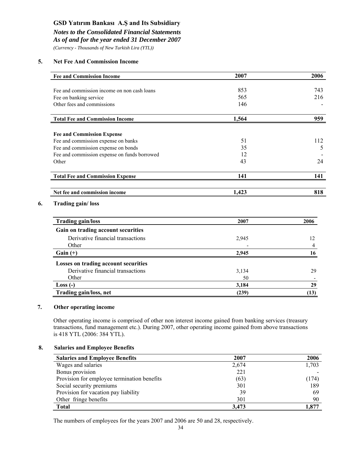# *Notes to the Consolidated Financial Statements As of and for the year ended 31 December 2007*

*(Currency - Thousands of New Turkish Lira (YTL))* 

# **5. Net Fee And Commission Income**

| <b>Fee and Commission Income</b>             | 2007  | 2006 |
|----------------------------------------------|-------|------|
|                                              |       |      |
| Fee and commission income on non cash loans  | 853   | 743  |
| Fee on banking service                       | 565   | 216  |
| Other fees and commissions                   | 146   |      |
| <b>Total Fee and Commission Income</b>       | 1,564 | 959  |
|                                              |       |      |
| <b>Fee and Commission Expense</b>            |       |      |
| Fee and commission expense on banks          | 51    | 112  |
| Fee and commission expense on bonds          | 35    | 5    |
| Fee and commission expense on funds borrowed | 12    |      |
| Other                                        | 43    | 24   |
| <b>Total Fee and Commission Expense</b>      | 141   | 141  |
| Net fee and commission income                | 1,423 | 818  |

| <b>Trading gain/loss</b>             | 2007  | 2006 |
|--------------------------------------|-------|------|
| Gain on trading account securities   |       |      |
| Derivative financial transactions    | 2,945 |      |
| Other                                |       |      |
| $Gain (+)$                           | 2,945 | 16   |
| Losses on trading account securities |       |      |
| Derivative financial transactions    | 3,134 | 29   |
| Other                                | 50    |      |
| Loss $(-)$                           | 3,184 | 29   |
| Trading gain/loss, net               | (239) | (13) |

# **7. Other operating income**

Other operating income is comprised of other non interest income gained from banking services (treasury transactions, fund management etc.). During 2007, other operating income gained from above transactions is 418 YTL (2006: 384 YTL).

## **8. Salaries and Employee Benefits**

| <b>Salaries and Employee Benefits</b>       | 2007  | 2006  |
|---------------------------------------------|-------|-------|
| Wages and salaries                          | 2,674 | 1,703 |
| Bonus provision                             | 221   |       |
| Provision for employee termination benefits | (63)  | (174) |
| Social security premiums                    | 301   | 189   |
| Provision for vacation pay liability        | 39    | 69    |
| Other fringe benefits                       | 301   | 90    |
| <b>Total</b>                                | 3,473 | 1.877 |

The numbers of employees for the years 2007 and 2006 are 50 and 28, respectively.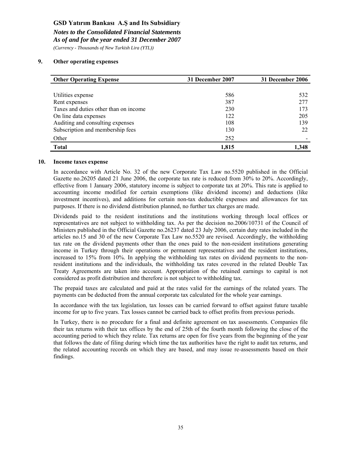# *Notes to the Consolidated Financial Statements As of and for the year ended 31 December 2007*

*(Currency - Thousands of New Turkish Lira (YTL))* 

# **9. Other operating expenses**

| <b>Other Operating Expense</b>        | 31 December 2007 | 31 December 2006 |
|---------------------------------------|------------------|------------------|
|                                       |                  |                  |
| Utilities expense                     | 586              | 532              |
| Rent expenses                         | 387              | 277              |
| Taxes and duties other than on income | 230              | 173              |
| On line data expenses                 | 122              | 205              |
| Auditing and consulting expenses      | 108              | 139              |
| Subscription and membership fees      | 130              | 22               |
| Other                                 | 252              |                  |
| <b>Total</b>                          | 1,815            | 1,348            |

#### **10. Income taxes expense**

In accordance with Article No. 32 of the new Corporate Tax Law no.5520 published in the Official Gazette no.26205 dated 21 June 2006, the corporate tax rate is reduced from 30% to 20%. Accordingly, effective from 1 January 2006, statutory income is subject to corporate tax at 20%. This rate is applied to accounting income modified for certain exemptions (like dividend income) and deductions (like investment incentives), and additions for certain non-tax deductible expenses and allowances for tax purposes. If there is no dividend distribution planned, no further tax charges are made.

Dividends paid to the resident institutions and the institutions working through local offices or representatives are not subject to withholding tax. As per the decision no.2006/10731 of the Council of Ministers published in the Official Gazette no.26237 dated 23 July 2006, certain duty rates included in the articles no.15 and 30 of the new Corporate Tax Law no.5520 are revised. Accordingly, the withholding tax rate on the dividend payments other than the ones paid to the non-resident institutions generating income in Turkey through their operations or permanent representatives and the resident institutions, increased to 15% from 10%. In applying the withholding tax rates on dividend payments to the nonresident institutions and the individuals, the withholding tax rates covered in the related Double Tax Treaty Agreements are taken into account. Appropriation of the retained earnings to capital is not considered as profit distribution and therefore is not subject to withholding tax.

The prepaid taxes are calculated and paid at the rates valid for the earnings of the related years. The payments can be deducted from the annual corporate tax calculated for the whole year earnings.

In accordance with the tax legislation, tax losses can be carried forward to offset against future taxable income for up to five years. Tax losses cannot be carried back to offset profits from previous periods.

In Turkey, there is no procedure for a final and definite agreement on tax assessments. Companies file their tax returns with their tax offices by the end of 25th of the fourth month following the close of the accounting period to which they relate. Tax returns are open for five years from the beginning of the year that follows the date of filing during which time the tax authorities have the right to audit tax returns, and the related accounting records on which they are based, and may issue re-assessments based on their findings.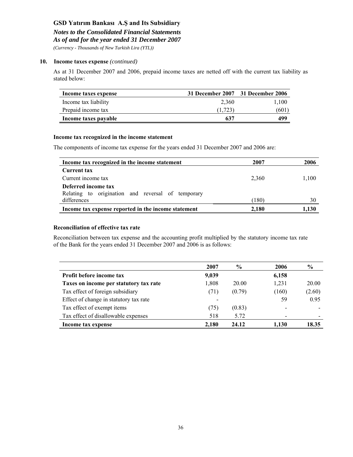# *Notes to the Consolidated Financial Statements As of and for the year ended 31 December 2007*

*(Currency - Thousands of New Turkish Lira (YTL))* 

#### **10. Income taxes expense** *(continued)*

As at 31 December 2007 and 2006, prepaid income taxes are netted off with the current tax liability as stated below:

| Income taxes expense |         | 31 December 2007 31 December 2006 |
|----------------------|---------|-----------------------------------|
| Income tax liability | 2,360   | 1.100                             |
| Prepaid income tax   | (1.723) | [60]                              |
| Income taxes payable | 637     | 499                               |

#### **Income tax recognized in the income statement**

The components of income tax expense for the years ended 31 December 2007 and 2006 are:

| Income tax recognized in the income statement       | 2007                  | 2006  |
|-----------------------------------------------------|-----------------------|-------|
| Current tax                                         |                       |       |
| Current income tax                                  | 2,360                 | 1,100 |
| Deferred income tax                                 |                       |       |
| Relating to origination and reversal of temporary   |                       |       |
| differences                                         | $\langle 180 \rangle$ | 30    |
| Income tax expense reported in the income statement | 2,180                 | 1,130 |

#### **Reconciliation of effective tax rate**

Reconciliation between tax expense and the accounting profit multiplied by the statutory income tax rate of the Bank for the years ended 31 December 2007 and 2006 is as follows:

|                                        | 2007  | $\frac{6}{9}$ | 2006  | $\frac{0}{0}$ |
|----------------------------------------|-------|---------------|-------|---------------|
| <b>Profit before income tax</b>        | 9,039 |               | 6,158 |               |
| Taxes on income per statutory tax rate | 1,808 | 20.00         | 1,231 | 20.00         |
| Tax effect of foreign subsidiary       | (71)  | (0.79)        | (160) | (2.60)        |
| Effect of change in statutory tax rate |       |               | 59    | 0.95          |
| Tax effect of exempt items             | (75)  | (0.83)        |       |               |
| Tax effect of disallowable expenses    | 518   | 5.72          |       |               |
| Income tax expense                     | 2,180 | 24.12         | 1,130 | 18.35         |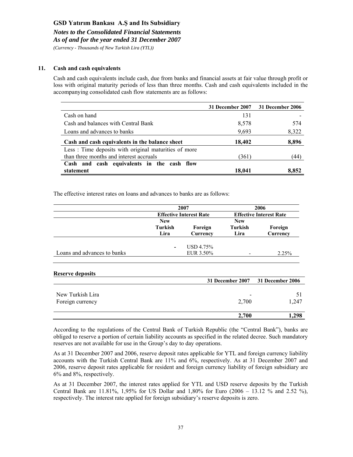## *Notes to the Consolidated Financial Statements As of and for the year ended 31 December 2007*

*(Currency - Thousands of New Turkish Lira (YTL))* 

# **11. Cash and cash equivalents**

Cash and cash equivalents include cash, due from banks and financial assets at fair value through profit or loss with original maturity periods of less than three months. Cash and cash equivalents included in the accompanying consolidated cash flow statements are as follows:

|                                                      | 31 December 2007 | <b>31 December 2006</b> |
|------------------------------------------------------|------------------|-------------------------|
| Cash on hand                                         | 131              |                         |
| Cash and balances with Central Bank                  | 8,578            | 574                     |
| Loans and advances to banks                          | 9,693            | 8,322                   |
| Cash and cash equivalents in the balance sheet       | 18,402           | 8,896                   |
| Less: Time deposits with original maturities of more |                  |                         |
| than three months and interest accruals              | (361)            | (44)                    |
| Cash and cash equivalents in the cash flow           |                  |                         |
| statement                                            | 18,041           | 8,852                   |

The effective interest rates on loans and advances to banks are as follows:

|                             |                          | 2007                           |                  | 2006                           |
|-----------------------------|--------------------------|--------------------------------|------------------|--------------------------------|
|                             |                          | <b>Effective Interest Rate</b> |                  | <b>Effective Interest Rate</b> |
|                             | <b>New</b>               |                                | <b>New</b>       |                                |
|                             | <b>Turkish</b>           | Foreign                        | <b>Turkish</b>   | Foreign                        |
|                             | Lira                     | Currency                       | Lira             | Currency                       |
|                             | $\overline{\phantom{0}}$ | USD 4.75%                      |                  |                                |
| Loans and advances to banks |                          | EUR 3.50%                      |                  | 2.25%                          |
| <b>Reserve deposits</b>     |                          |                                |                  |                                |
|                             |                          |                                | 31 December 2007 | 31 December 2006               |
| New Turkish Lira            |                          |                                |                  | 51                             |
| Foreign currency            |                          |                                | 2,700            | 1,247                          |

According to the regulations of the Central Bank of Turkish Republic (the "Central Bank"), banks are obliged to reserve a portion of certain liability accounts as specified in the related decree. Such mandatory reserves are not available for use in the Group's day to day operations.

**2,700 1,298**

As at 31 December 2007 and 2006, reserve deposit rates applicable for YTL and foreign currency liability accounts with the Turkish Central Bank are 11% and 6%, respectively. As at 31 December 2007 and 2006, reserve deposit rates applicable for resident and foreign currency liability of foreign subsidiary are 6% and 8%, respectively.

As at 31 December 2007, the interest rates applied for YTL and USD reserve deposits by the Turkish Central Bank are 11.81%, 1,95% for US Dollar and 1,80% for Euro  $(2006 - 13.12 \text{ % and } 2.52 \text{ %})$ , respectively. The interest rate applied for foreign subsidiary's reserve deposits is zero.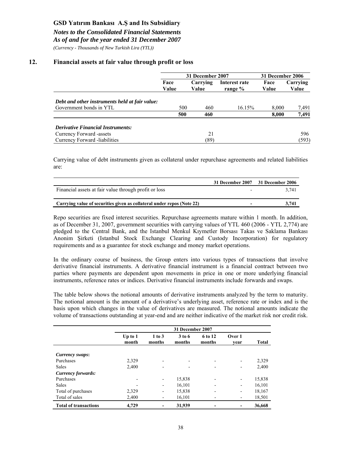*Notes to the Consolidated Financial Statements As of and for the year ended 31 December 2007* 

*(Currency - Thousands of New Turkish Lira (YTL))* 

# **12. Financial assets at fair value through profit or loss**

|                                                |               | 31 December 2007  |                          | 31 December 2006 |                   |
|------------------------------------------------|---------------|-------------------|--------------------------|------------------|-------------------|
|                                                | Face<br>Value | Carrying<br>Value | Interest rate<br>range % | Face<br>Value    | Carrying<br>Value |
| Debt and other instruments held at fair value: |               |                   |                          |                  |                   |
| Government bonds in YTL                        | 500           | 460               | 16.15%                   | 8,000            | 7.491             |
|                                                | 500           | 460               |                          | 8,000            | 7,491             |
| <b>Derivative Financial Instruments:</b>       |               |                   |                          |                  |                   |
| Currency Forward -assets                       |               | 21                |                          |                  | 596               |
| Currency Forward -liabilities                  |               | (89)              |                          |                  | (593)             |

Carrying value of debt instruments given as collateral under repurchase agreements and related liabilities are:

|                                                                        | 31 December 2007 31 December 2006 |
|------------------------------------------------------------------------|-----------------------------------|
| Financial assets at fair value through profit or loss                  | 3.741                             |
| Carrying value of securities given as collateral under repos (Note 22) | 3.741                             |

Repo securities are fixed interest securities. Repurchase agreements mature within 1 month. In addition, as of December 31, 2007, government securities with carrying values of YTL 460 (2006 - YTL 2,774) are pledged to the Central Bank, and the Istanbul Menkul Kıymetler Borsası Takas ve Saklama Bankası Anonim Şirketi (Istanbul Stock Exchange Clearing and Custody Incorporation) for regulatory requirements and as a guarantee for stock exchange and money market operations.

In the ordinary course of business, the Group enters into various types of transactions that involve derivative financial instruments. A derivative financial instrument is a financial contract between two parties where payments are dependent upon movements in price in one or more underlying financial instruments, reference rates or indices. Derivative financial instruments include forwards and swaps.

The table below shows the notional amounts of derivative instruments analyzed by the term to maturity. The notional amount is the amount of a derivative's underlying asset, reference rate or index and is the basis upon which changes in the value of derivatives are measured. The notional amounts indicate the volume of transactions outstanding at year-end and are neither indicative of the market risk nor credit risk.

|                              | 31 December 2007   |                          |                  |                   |                              |              |  |
|------------------------------|--------------------|--------------------------|------------------|-------------------|------------------------------|--------------|--|
|                              | Up to $1$<br>month | 1 to 3<br>months         | 3 to 6<br>months | 6 to 12<br>months | Over 1<br>year               | <b>Total</b> |  |
| Currency swaps:              |                    |                          |                  |                   |                              |              |  |
| Purchases                    | 2,329              | $\overline{\phantom{a}}$ |                  | -                 |                              | 2,329        |  |
| Sales                        | 2,400              |                          |                  |                   |                              | 2,400        |  |
| Currency forwards:           |                    |                          |                  |                   |                              |              |  |
| Purchases                    |                    | $\overline{\phantom{a}}$ | 15,838           |                   | $\qquad \qquad \blacksquare$ | 15,838       |  |
| Sales                        |                    | $\overline{\phantom{a}}$ | 16,101           |                   | $\qquad \qquad \blacksquare$ | 16,101       |  |
| Total of purchases           | 2,329              | $\overline{\phantom{a}}$ | 15,838           | ۰                 | -                            | 18,167       |  |
| Total of sales               | 2,400              | $\overline{\phantom{a}}$ | 16,101           |                   | -                            | 18,501       |  |
| <b>Total of transactions</b> | 4,729              | -                        | 31,939           |                   |                              | 36,668       |  |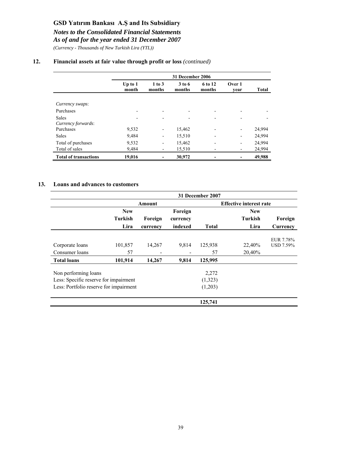# *Notes to the Consolidated Financial Statements As of and for the year ended 31 December 2007*

*(Currency - Thousands of New Turkish Lira (YTL))* 

# **12. Financial assets at fair value through profit or loss** *(continued)*

|                              | 31 December 2006   |                          |                          |                          |                          |              |  |  |
|------------------------------|--------------------|--------------------------|--------------------------|--------------------------|--------------------------|--------------|--|--|
|                              | Up to $1$<br>month | 1 to 3<br>months         | 3 to 6<br>months         | 6 to 12<br>months        | Over 1<br>vear           | <b>Total</b> |  |  |
| Currency swaps:              |                    |                          |                          |                          |                          |              |  |  |
| Purchases                    | ۰                  |                          |                          | $\overline{\phantom{0}}$ |                          |              |  |  |
| <b>Sales</b>                 |                    |                          | $\overline{\phantom{0}}$ |                          |                          |              |  |  |
| Currency forwards:           |                    |                          |                          |                          |                          |              |  |  |
| Purchases                    | 9,532              | $\overline{\phantom{0}}$ | 15,462                   | ٠                        | ۰                        | 24,994       |  |  |
| <b>Sales</b>                 | 9,484              | ۰.                       | 15,510                   | ۰                        | $\overline{\phantom{0}}$ | 24,994       |  |  |
| Total of purchases           | 9,532              |                          | 15,462                   |                          | -                        | 24,994       |  |  |
| Total of sales               | 9,484              |                          | 15,510                   |                          |                          | 24,994       |  |  |
| <b>Total of transactions</b> | 19,016             |                          | 30,972                   |                          |                          | 49,988       |  |  |

# **13. Loans and advances to customers**

|                                        |                | 31 December 2007 |          |              |                                |                        |  |  |
|----------------------------------------|----------------|------------------|----------|--------------|--------------------------------|------------------------|--|--|
|                                        |                | Amount           |          |              | <b>Effective interest rate</b> |                        |  |  |
|                                        | <b>New</b>     |                  | Foreign  |              | <b>New</b>                     |                        |  |  |
|                                        | <b>Turkish</b> | Foreign          | currency |              | <b>Turkish</b>                 | Foreign                |  |  |
|                                        | Lira           | currency         | indexed  | <b>Total</b> | Lira                           | Currency               |  |  |
|                                        |                |                  |          |              |                                |                        |  |  |
| Corporate loans                        | 101,857        | 14,267           | 9,814    | 125,938      | 22,40%                         | EUR 7.78%<br>USD 7.59% |  |  |
| Consumer loans                         | 57             |                  |          | 57           | 20,40%                         |                        |  |  |
| <b>Total loans</b>                     | 101,914        | 14,267           | 9,814    | 125,995      |                                |                        |  |  |
|                                        |                |                  |          |              |                                |                        |  |  |
| Non performing loans                   |                |                  |          | 2,272        |                                |                        |  |  |
| Less: Specific reserve for impairment  |                |                  |          | (1,323)      |                                |                        |  |  |
| Less: Portfolio reserve for impairment |                |                  |          | (1,203)      |                                |                        |  |  |
|                                        |                |                  |          | 125,741      |                                |                        |  |  |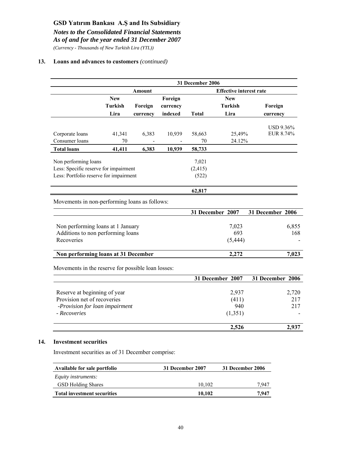*Notes to the Consolidated Financial Statements As of and for the year ended 31 December 2007* 

*(Currency - Thousands of New Turkish Lira (YTL))* 

# **13. Loans and advances to customers** *(continued)*

|                                                                                                                                                                                                                                      |                       | 31 December 2006 |                     |                                |                              |                        |                      |  |  |  |  |
|--------------------------------------------------------------------------------------------------------------------------------------------------------------------------------------------------------------------------------------|-----------------------|------------------|---------------------|--------------------------------|------------------------------|------------------------|----------------------|--|--|--|--|
|                                                                                                                                                                                                                                      |                       | <b>Amount</b>    |                     | <b>Effective interest rate</b> |                              |                        |                      |  |  |  |  |
|                                                                                                                                                                                                                                      | <b>New</b><br>Turkish | Foreign          | Foreign<br>currency |                                | <b>New</b><br><b>Turkish</b> | Foreign                |                      |  |  |  |  |
|                                                                                                                                                                                                                                      | Lira                  | currency         | indexed             | <b>Total</b>                   | Lira                         | currency               |                      |  |  |  |  |
| Corporate loans                                                                                                                                                                                                                      | 41,341                | 6,383            | 10,939              | 58,663                         | 25,49%                       | USD 9.36%<br>EUR 8.74% |                      |  |  |  |  |
| Consumer loans                                                                                                                                                                                                                       | 70                    |                  |                     | 70                             | 24.12%                       |                        |                      |  |  |  |  |
| <b>Total loans</b>                                                                                                                                                                                                                   | 41,411                | 6,383            | 10,939              | 58,733                         |                              |                        |                      |  |  |  |  |
| Non performing loans<br>Less: Specific reserve for impairment<br>Less: Portfolio reserve for impairment                                                                                                                              |                       |                  |                     | 7,021<br>(2, 415)<br>(522)     |                              |                        |                      |  |  |  |  |
|                                                                                                                                                                                                                                      |                       |                  |                     | 62,817                         |                              |                        |                      |  |  |  |  |
| Movements in non-performing loans as follows:                                                                                                                                                                                        |                       |                  |                     |                                |                              |                        |                      |  |  |  |  |
|                                                                                                                                                                                                                                      |                       |                  |                     |                                | 31 December 2007             | 31 December 2006       |                      |  |  |  |  |
| Non performing loans at 1 January<br>Additions to non performing loans<br>Recoveries                                                                                                                                                 |                       |                  |                     |                                | 7,023<br>693<br>(5, 444)     |                        | 6,855<br>168         |  |  |  |  |
| Non performing loans at 31 December                                                                                                                                                                                                  |                       |                  |                     |                                | 2,272                        |                        | 7,023                |  |  |  |  |
| Movements in the reserve for possible loan losses:                                                                                                                                                                                   |                       |                  |                     |                                |                              |                        |                      |  |  |  |  |
|                                                                                                                                                                                                                                      |                       |                  |                     |                                | 31 December 2007             | 31 December 2006       |                      |  |  |  |  |
| $\mathbf{u}$ and $\mathbf{u}$ are the set of the set of the set of the set of the set of the set of the set of the set of the set of the set of the set of the set of the set of the set of the set of the set of the set of the set | $\sim$                |                  |                     |                                | $\sim$ $\sim$ $\sim$         |                        | $\sim$ $\sim$ $\sim$ |  |  |  |  |

|                                | 2.526   | 2.937 |
|--------------------------------|---------|-------|
| - Recoveries                   | (1,351) |       |
| -Provision for loan impairment | 940     | 217   |
| Provision net of recoveries    | (411)   | 217   |
| Reserve at beginning of year   | 2,937   | 2,720 |

#### **14. Investment securities**

Investment securities as of 31 December comprise:

| Available for sale portfolio       | 31 December 2007 | 31 December 2006 |  |
|------------------------------------|------------------|------------------|--|
| <i>Equity instruments:</i>         |                  |                  |  |
| <b>GSD Holding Shares</b>          | 10.102           | 7.947            |  |
| <b>Total investment securities</b> | 10.102           | 7.947            |  |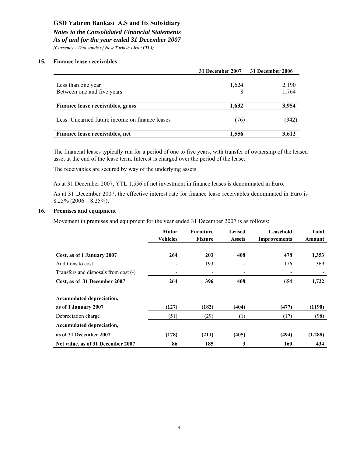# *Notes to the Consolidated Financial Statements As of and for the year ended 31 December 2007*

*(Currency - Thousands of New Turkish Lira (YTL))* 

# **15. Finance lease receivables**

|                                                | 31 December 2007 31 December 2006 |       |
|------------------------------------------------|-----------------------------------|-------|
|                                                |                                   |       |
| Less than one year                             | 1,624                             | 2,190 |
| Between one and five years                     | 8                                 | 1,764 |
|                                                |                                   |       |
| Finance lease receivables, gross               | 1,632                             | 3,954 |
| Less: Unearned future income on finance leases | (76)                              | (342) |
| Finance lease receivables, net                 | 1,556                             | 3,612 |

The financial leases typically run for a period of one to five years, with transfer of ownership of the leased asset at the end of the lease term. Interest is charged over the period of the lease.

The receivables are secured by way of the underlying assets.

As at 31 December 2007, YTL 1,556 of net investment in finance leases is denominated in Euro.

As at 31 December 2007, the effective interest rate for finance lease receivables denominated in Euro is  $8.25\%$  (2006 – 8.25%),

#### **16. Premises and equipment**

Movement in premises and equipment for the year ended 31 December 2007 is as follows:

|                                       | Motor<br><b>Vehicles</b> | <b>Furniture</b><br><b>Fixture</b> | Leased<br><b>Assets</b> | Leasehold           | <b>Total</b><br>Amount |
|---------------------------------------|--------------------------|------------------------------------|-------------------------|---------------------|------------------------|
|                                       |                          |                                    |                         | <b>Improvements</b> |                        |
| Cost, as of 1 January 2007            | 264                      | 203                                | 408                     | 478                 | 1,353                  |
| Additions to cost                     | ٠                        | 193                                | ٠                       | 176                 | 369                    |
| Transfers and disposals from cost (-) |                          | -                                  |                         |                     |                        |
| Cost, as of 31 December 2007          | 264                      | 396                                | 408                     | 654                 | 1,722                  |
| Accumulated depreciation,             |                          |                                    |                         |                     |                        |
| as of 1 January 2007                  | (127)                    | (182)                              | (404)                   | (477)               | (1190)                 |
| Depreciation charge                   | (51)                     | (29)                               | (1)                     | (17)                | (98)                   |
| Accumulated depreciation,             |                          |                                    |                         |                     |                        |
| as of 31 December 2007                | (178)                    | (211)                              | (405)                   | (494)               | (1,288)                |
| Net value, as of 31 December 2007     | 86                       | 185                                | 3                       | 160                 | 434                    |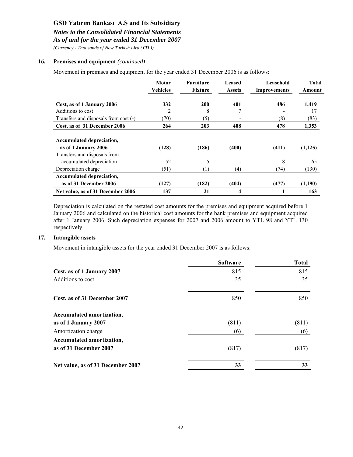# *Notes to the Consolidated Financial Statements*

*As of and for the year ended 31 December 2007* 

*(Currency - Thousands of New Turkish Lira (YTL))* 

# **16. Premises and equipment** *(continued)*

Movement in premises and equipment for the year ended 31 December 2006 is as follows:

|                                                                                   | Motor<br>Vehicles | <b>Furniture</b><br><b>Fixture</b> | <b>Leased</b><br><b>Assets</b> | Leasehold<br>Improvements | <b>Total</b><br>Amount |
|-----------------------------------------------------------------------------------|-------------------|------------------------------------|--------------------------------|---------------------------|------------------------|
| Cost, as of 1 January 2006                                                        | 332               | 200                                | 401                            | 486                       | 1,419                  |
| Additions to cost                                                                 | 2                 | 8                                  |                                |                           | 17                     |
| Transfers and disposals from cost (-)                                             | (70)              | (5)                                |                                | (8)                       | (83)                   |
| Cost, as of 31 December 2006                                                      | 264               | 203                                | 408                            | 478                       | 1,353                  |
| Accumulated depreciation,<br>as of 1 January 2006<br>Transfers and disposals from | (128)             | (186)                              | (400)                          | (411)                     | (1, 125)               |
| accumulated depreciation                                                          | 52                | 5                                  |                                | 8                         | 65                     |
| Depreciation charge                                                               | (51)              | (1)                                | (4)                            | (74)                      | (130)                  |
| Accumulated depreciation,<br>as of 31 December 2006                               | (127)             | (182)                              | (404)                          | (477)                     | (1,190)                |
| Net value, as of 31 December 2006                                                 | 137               | 21                                 | 4                              |                           | 163                    |

Depreciation is calculated on the restated cost amounts for the premises and equipment acquired before 1 January 2006 and calculated on the historical cost amounts for the bank premises and equipment acquired after 1 January 2006. Such depreciation expenses for 2007 and 2006 amount to YTL 98 and YTL 130 respectively.

# **17. Intangible assets**

Movement in intangible assets for the year ended 31 December 2007 is as follows:

|                                   | <b>Software</b> | <b>Total</b> |
|-----------------------------------|-----------------|--------------|
| Cost, as of 1 January 2007        | 815             | 815          |
| Additions to cost                 | 35              | 35           |
| Cost, as of 31 December 2007      | 850             | 850          |
| Accumulated amortization,         |                 |              |
| as of 1 January 2007              | (811)           | (811)        |
| Amortization charge               | (6)             | (6)          |
| Accumulated amortization,         |                 |              |
| as of 31 December 2007            | (817)           | (817)        |
| Net value, as of 31 December 2007 | 33              | 33           |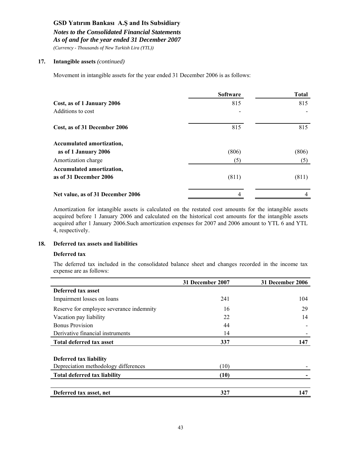# *Notes to the Consolidated Financial Statements As of and for the year ended 31 December 2007*

*(Currency - Thousands of New Turkish Lira (YTL))* 

# **17. Intangible assets** *(continued)*

Movement in intangible assets for the year ended 31 December 2006 is as follows:

|                                   | <b>Software</b> | <b>Total</b> |
|-----------------------------------|-----------------|--------------|
| Cost, as of 1 January 2006        | 815             | 815          |
| Additions to cost                 |                 |              |
| Cost, as of 31 December 2006      | 815             | 815          |
| Accumulated amortization,         |                 |              |
| as of 1 January 2006              | (806)           | (806)        |
| Amortization charge               | (5)             | (5)          |
| Accumulated amortization,         |                 |              |
| as of 31 December 2006            | (811)           | (811)        |
| Net value, as of 31 December 2006 | 4               |              |
|                                   |                 |              |

Amortization for intangible assets is calculated on the restated cost amounts for the intangible assets acquired before 1 January 2006 and calculated on the historical cost amounts for the intangible assets acquired after 1 January 2006.Such amortization expenses for 2007 and 2006 amount to YTL 6 and YTL 4, respectively.

#### **18. Deferred tax assets and liabilities**

# **Deferred tax**

The deferred tax included in the consolidated balance sheet and changes recorded in the income tax expense are as follows:

|                                                                       | 31 December 2007 | 31 December 2006 |
|-----------------------------------------------------------------------|------------------|------------------|
| Deferred tax asset                                                    |                  |                  |
| Impairment losses on loans                                            | 241              | 104              |
| Reserve for employee severance indemnity                              | 16               | 29               |
| Vacation pay liability                                                | 22               | 14               |
| <b>Bonus Provision</b>                                                | 44               |                  |
| Derivative financial instruments                                      | 14               |                  |
| <b>Total deferred tax asset</b>                                       | 337              | 147              |
| <b>Deferred tax liability</b><br>Depreciation methodology differences | (10)             |                  |
| <b>Total deferred tax liability</b>                                   | (10)             |                  |
| Deferred tax asset, net                                               | 327              | 147              |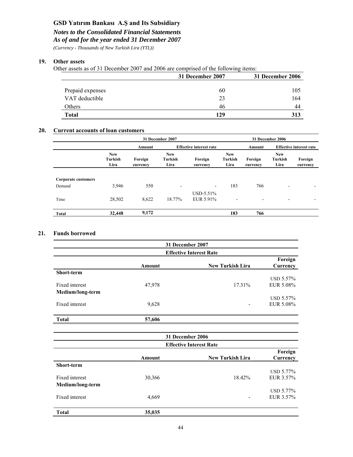# *Notes to the Consolidated Financial Statements*

*As of and for the year ended 31 December 2007* 

*(Currency - Thousands of New Turkish Lira (YTL))* 

# **19. Other assets**

Other assets as of 31 December 2007 and 2006 are comprised of the following items:

|                  | 31 December 2007 |     |
|------------------|------------------|-----|
|                  |                  |     |
| Prepaid expenses | 60               | 105 |
| VAT deductible   | 23               | 164 |
| Others           | 46               | 44  |
| <b>Total</b>     | 129              | 313 |

# **20.** Current accounts of loan customers

|                     |                               |                     | 31 December 2007                     |                                |                                      |                     | 31 December 2006                     |                                |
|---------------------|-------------------------------|---------------------|--------------------------------------|--------------------------------|--------------------------------------|---------------------|--------------------------------------|--------------------------------|
|                     |                               | Amount              |                                      | <b>Effective interest rate</b> |                                      | Amount              |                                      | <b>Effective interest rate</b> |
|                     | <b>New</b><br>Turkish<br>Lira | Foreign<br>currency | <b>New</b><br><b>Turkish</b><br>Lira | Foreign<br>currency            | <b>New</b><br><b>Turkish</b><br>Lira | Foreign<br>currency | <b>New</b><br><b>Turkish</b><br>Lira | Foreign<br>currency            |
|                     |                               |                     |                                      |                                |                                      |                     |                                      |                                |
| Corporate customers |                               |                     |                                      |                                |                                      |                     |                                      |                                |
| Demand              | 3,946                         | 550                 | $\overline{\phantom{a}}$             | $\overline{\phantom{0}}$       | 183                                  | 766                 |                                      |                                |
|                     |                               |                     |                                      | $USD-5.51%$                    |                                      |                     |                                      |                                |
| Time                | 28,502                        | 8,622               | 18.77%                               | EUR 5.91%                      | $\overline{\phantom{a}}$             | ۰                   | $\overline{\phantom{a}}$             | -                              |
| <b>Total</b>        | 32,448                        | 9,172               |                                      |                                | 183                                  | 766                 |                                      |                                |

# **21. Funds borrowed**

| Amount | <b>New Turkish Lira</b> | Foreign<br>Currency                                |
|--------|-------------------------|----------------------------------------------------|
|        |                         |                                                    |
|        |                         | $USD 5.57\%$                                       |
| 47,978 | 17.31%                  | EUR 5.08%                                          |
|        |                         |                                                    |
|        |                         | USD 5.57%                                          |
| 9,628  |                         | EUR 5.08%                                          |
| 57,606 |                         |                                                    |
|        |                         | 31 December 2007<br><b>Effective Interest Rate</b> |

|                  |        | 31 December 2006               |                     |
|------------------|--------|--------------------------------|---------------------|
|                  |        | <b>Effective Interest Rate</b> |                     |
|                  | Amount | <b>New Turkish Lira</b>        | Foreign<br>Currency |
| Short-term       |        |                                |                     |
|                  |        |                                | USD 5.77%           |
| Fixed interest   | 30,366 | 18.42%                         | EUR 3.57%           |
| Medium/long-term |        |                                |                     |
|                  |        |                                | USD 5.77%           |
| Fixed interest   | 4,669  |                                | EUR 3.57%           |
| Total            | 35,035 |                                |                     |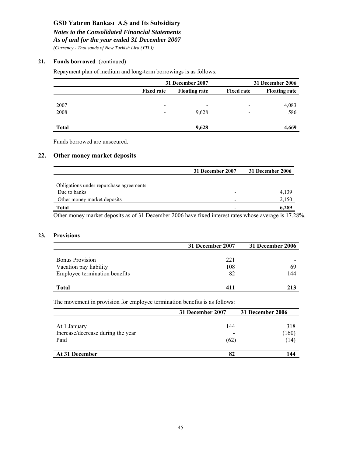# *Notes to the Consolidated Financial Statements As of and for the year ended 31 December 2007*

*(Currency - Thousands of New Turkish Lira (YTL))* 

## **21. Funds borrowed** (continued)

Repayment plan of medium and long-term borrowings is as follows:

|                          | 31 December 2007     |                          | 31 December 2006     |
|--------------------------|----------------------|--------------------------|----------------------|
| <b>Fixed rate</b>        | <b>Floating rate</b> | <b>Fixed rate</b>        | <b>Floating rate</b> |
|                          |                      |                          |                      |
|                          |                      |                          | 4,083<br>586         |
| $\overline{\phantom{0}}$ |                      | $\overline{\phantom{0}}$ |                      |
|                          |                      |                          | 4,669                |
|                          |                      | -<br>9,628<br>9,628      |                      |

Funds borrowed are unsecured.

# **22. Other money market deposits**

|                                          | 31 December 2007         | 31 December 2006 |
|------------------------------------------|--------------------------|------------------|
|                                          |                          |                  |
| Obligations under repurchase agreements: |                          |                  |
| Due to banks                             | $\overline{\phantom{0}}$ | 4,139            |
| Other money market deposits              | -                        | 2,150            |
| Total                                    | -                        | 6.289            |

Other money market deposits as of 31 December 2006 have fixed interest rates whose average is 17.28%.

#### **23. Provisions**

|                                      | 31 December 2007 | 31 December 2006 |
|--------------------------------------|------------------|------------------|
|                                      |                  |                  |
| <b>Bonus Provision</b>               | 221              |                  |
| Vacation pay liability               | 108              | 69               |
| <b>Employee termination benefits</b> | 82               | 144              |
| Total                                | 411              |                  |

The movement in provision for employee termination benefits is as follows:

|                                                           | 31 December 2007 | 31 December 2006     |
|-----------------------------------------------------------|------------------|----------------------|
| At 1 January<br>Increase/decrease during the year<br>Paid | 144<br>(62)      | 318<br>(160)<br>(14) |
| At 31 December                                            | 82               | 144                  |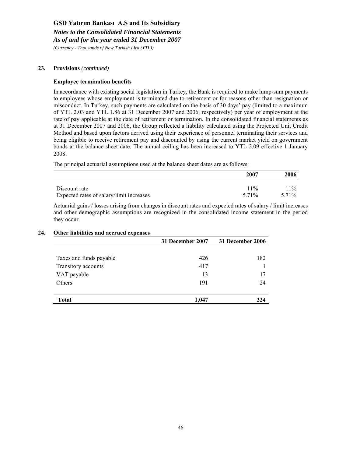# *Notes to the Consolidated Financial Statements As of and for the year ended 31 December 2007*

*(Currency - Thousands of New Turkish Lira (YTL))* 

## **23. Provisions** *(continued)*

## **Employee termination benefits**

In accordance with existing social legislation in Turkey, the Bank is required to make lump-sum payments to employees whose employment is terminated due to retirement or for reasons other than resignation or misconduct. In Turkey, such payments are calculated on the basis of 30 days' pay (limited to a maximum of YTL 2.03 and YTL 1.86 at 31 December 2007 and 2006, respectively) per year of employment at the rate of pay applicable at the date of retirement or termination. In the consolidated financial statements as at 31 December 2007 and 2006, the Group reflected a liability calculated using the Projected Unit Credit Method and based upon factors derived using their experience of personnel terminating their services and being eligible to receive retirement pay and discounted by using the current market yield on government bonds at the balance sheet date. The annual ceiling has been increased to YTL 2.09 effective 1 January 2008.

The principal actuarial assumptions used at the balance sheet dates are as follows:

|                                          | 2007    | 2006    |
|------------------------------------------|---------|---------|
| Discount rate                            | $11\%$  | $11\%$  |
| Expected rates of salary/limit increases | 5 7 1 % | 5 7 1 % |

Actuarial gains / losses arising from changes in discount rates and expected rates of salary / limit increases and other demographic assumptions are recognized in the consolidated income statement in the period they occur.

|                         | 31 December 2007 | 31 December 2006 |
|-------------------------|------------------|------------------|
|                         |                  |                  |
| Taxes and funds payable | 426              | 182              |
| Transitory accounts     | 417              |                  |
| VAT payable             | 13               | 17               |
| Others                  | 191              | 24               |
| <b>Total</b>            | 1,047            | 224              |

#### **24. Other liabilities and accrued expenses**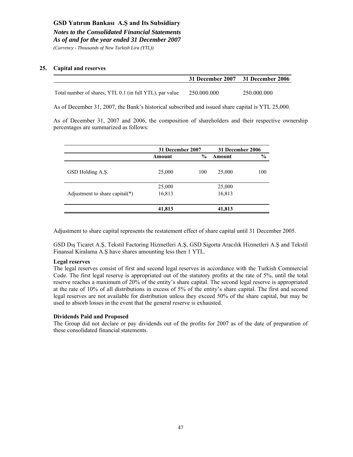*Notes to the Consolidated Financial Statements As of and for the year ended 31 December 2007 (Currency - Thousands of New Turkish Lira (YTL))* 

# **25. Capital and reserves**

|                                                          | 31 December 2007 31 December 2006 |             |  |  |
|----------------------------------------------------------|-----------------------------------|-------------|--|--|
|                                                          |                                   |             |  |  |
| Total number of shares, YTL 0.1 (in full YTL), par value | 250,000,000                       | 250.000.000 |  |  |

As of December 31, 2007, the Bank's historical subscribed and issued share capital is YTL 25,000.

As of December 31, 2007 and 2006, the composition of shareholders and their respective ownership percentages are summarized as follows:

|                                   | 31 December 2007 |               | 31 December 2006 |      |
|-----------------------------------|------------------|---------------|------------------|------|
|                                   | Amount           | $\frac{0}{0}$ | Amount           | $\%$ |
| GSD Holding A.S.                  | 25,000           | 100           | 25,000           | 100  |
| Adjustment to share capital $(*)$ | 25,000<br>16,813 |               | 25,000<br>16,813 |      |
|                                   | 41,813           |               | 41,813           |      |

Adjustment to share capital represents the restatement effect of share capital until 31 December 2005.

GSD Dış Ticaret A.Ş, Tekstil Factoring Hizmetleri A.Ş, GSD Sigorta Aracılık Hizmetleri A.Ş and Tekstil Finansal Kiralama A.Ş have shares amounting less then 1 YTL.

#### **Legal reserves**

The legal reserves consist of first and second legal reserves in accordance with the Turkish Commercial Code. The first legal reserve is appropriated out of the statutory profits at the rate of 5%, until the total reserve reaches a maximum of 20% of the entity's share capital. The second legal reserve is appropriated at the rate of 10% of all distributions in excess of 5% of the entity's share capital. The first and second legal reserves are not available for distribution unless they exceed 50% of the share capital, but may be used to absorb losses in the event that the general reserve is exhausted.

#### **Dividends Paid and Proposed**

The Group did not declare or pay dividends out of the profits for 2007 as of the date of preparation of these consolidated financial statements.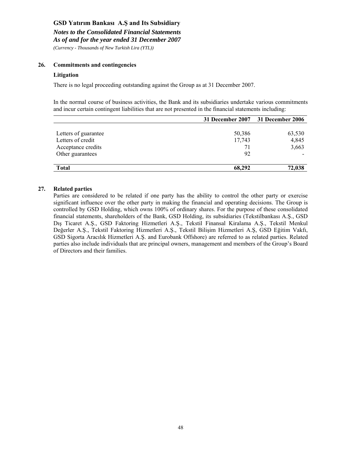*Notes to the Consolidated Financial Statements As of and for the year ended 31 December 2007 (Currency - Thousands of New Turkish Lira (YTL))* 

#### **26. Commitments and contingencies**

#### **Litigation**

There is no legal proceeding outstanding against the Group as at 31 December 2007.

In the normal course of business activities, the Bank and its subsidiaries undertake various commitments and incur certain contingent liabilities that are not presented in the financial statements including:

|                      |        | 31 December 2007 31 December 2006 |
|----------------------|--------|-----------------------------------|
|                      |        |                                   |
| Letters of guarantee | 50,386 | 63,530                            |
| Letters of credit    | 17,743 | 4,845                             |
| Acceptance credits   | 71     | 3,663                             |
| Other guarantees     | 92     |                                   |
|                      |        |                                   |
| <b>Total</b>         | 68,292 | 72,038                            |

#### **27. Related parties**

Parties are considered to be related if one party has the ability to control the other party or exercise significant influence over the other party in making the financial and operating decisions. The Group is controlled by GSD Holding, which owns 100% of ordinary shares. For the purpose of these consolidated financial statements, shareholders of the Bank, GSD Holding, its subsidiaries (Tekstilbankası A.Ş., GSD Dış Ticaret A.Ş., GSD Faktoring Hizmetleri A.Ş., Tekstil Finansal Kiralama A.Ş., Tekstil Menkul Değerler A.Ş., Tekstil Faktoring Hizmetleri A.Ş., Tekstil Bilişim Hizmetleri A.Ş, GSD Eğitim Vakfı, GSD Sigorta Aracılık Hizmetleri A.Ş. and Eurobank Offshore) are referred to as related parties. Related parties also include individuals that are principal owners, management and members of the Group's Board of Directors and their families.